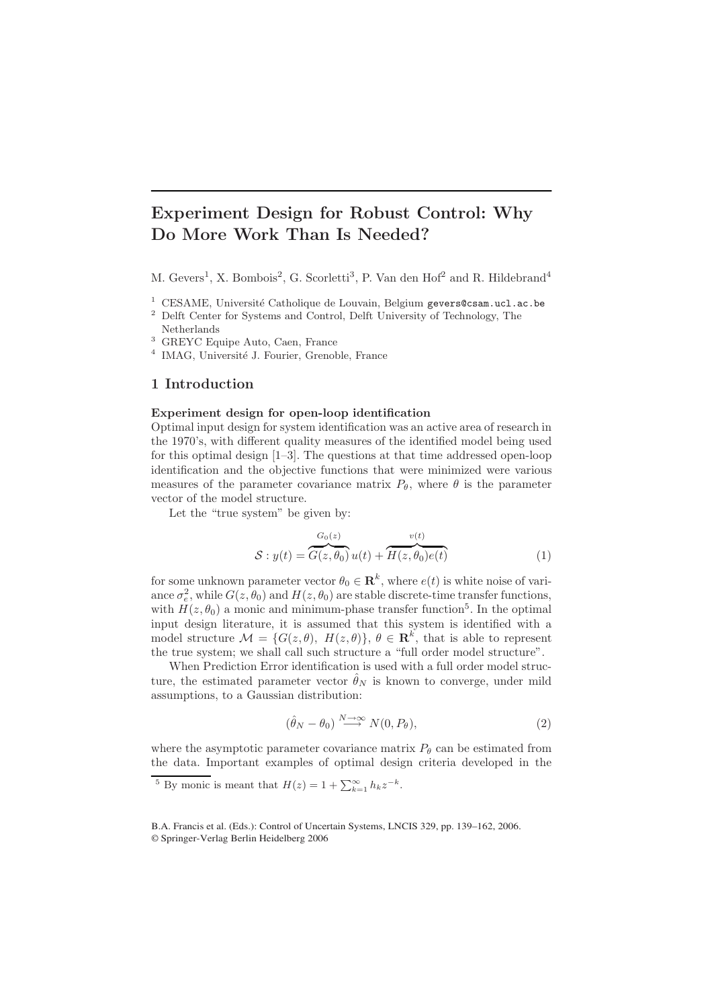# Experiment Design for Robust Control: Why Do More Work Than Is Needed?

M. Gevers<sup>1</sup>, X. Bombois<sup>2</sup>, G. Scorletti<sup>3</sup>, P. Van den Hof<sup>2</sup> and R. Hildebrand<sup>4</sup>

- $2$  Delft Center for Systems and Control, Delft University of Technology, The Netherlands
- <sup>3</sup> GREYC Equipe Auto, Caen, France
- <sup>4</sup> IMAG, Université J. Fourier, Grenoble, France

### 1 Introduction

### Experiment design for open-loop identification

Optimal input design for system identification was an active area of research in the 1970's, with different quality measures of the identified model being used for this optimal design [1–3]. The questions at that time addressed open-loop identification and the objective functions that were minimized were various measures of the parameter covariance matrix  $P_{\theta}$ , where  $\theta$  is the parameter vector of the model structure.

Let the "true system" be given by:

$$
S: y(t) = \overbrace{G(z, \theta_0)}^{G_0(z)} u(t) + \overbrace{H(z, \theta_0)e(t)}^{v(t)}
$$
(1)

for some unknown parameter vector  $\theta_0 \in \mathbb{R}^k$ , where  $e(t)$  is white noise of variance  $\sigma_e^2$ , while  $G(z, \theta_0)$  and  $H(z, \theta_0)$  are stable discrete-time transfer functions, with  $H(z, \theta_0)$  a monic and minimum-phase transfer function<sup>5</sup>. In the optimal input design literature, it is assumed that this system is identified with a model structure  $\mathcal{M} = \{G(z, \theta), H(z, \theta)\}, \theta \in \mathbb{R}^k$ , that is able to represent the true system; we shall call such structure a "full order model structure".

When Prediction Error identification is used with a full order model structure, the estimated parameter vector  $\hat{\theta}_N$  is known to converge, under mild assumptions, to a Gaussian distribution:

$$
(\hat{\theta}_N - \theta_0) \stackrel{N \to \infty}{\longrightarrow} N(0, P_{\theta}), \tag{2}
$$

where the asymptotic parameter covariance matrix  $P_{\theta}$  can be estimated from the data. Important examples of optimal design criteria developed in the

 $1$  CESAME, Université Catholique de Louvain, Belgium gevers@csam.ucl.ac.be

<sup>&</sup>lt;sup>5</sup> By monic is meant that  $H(z) = 1 + \sum_{k=1}^{\infty} h_k z^{-k}$ .

B.A. Francis et al. (Eds.): Control of Uncertain Systems, LNCIS 329, pp. 139–162, 2006. © Springer-Verlag Berlin Heidelberg 2006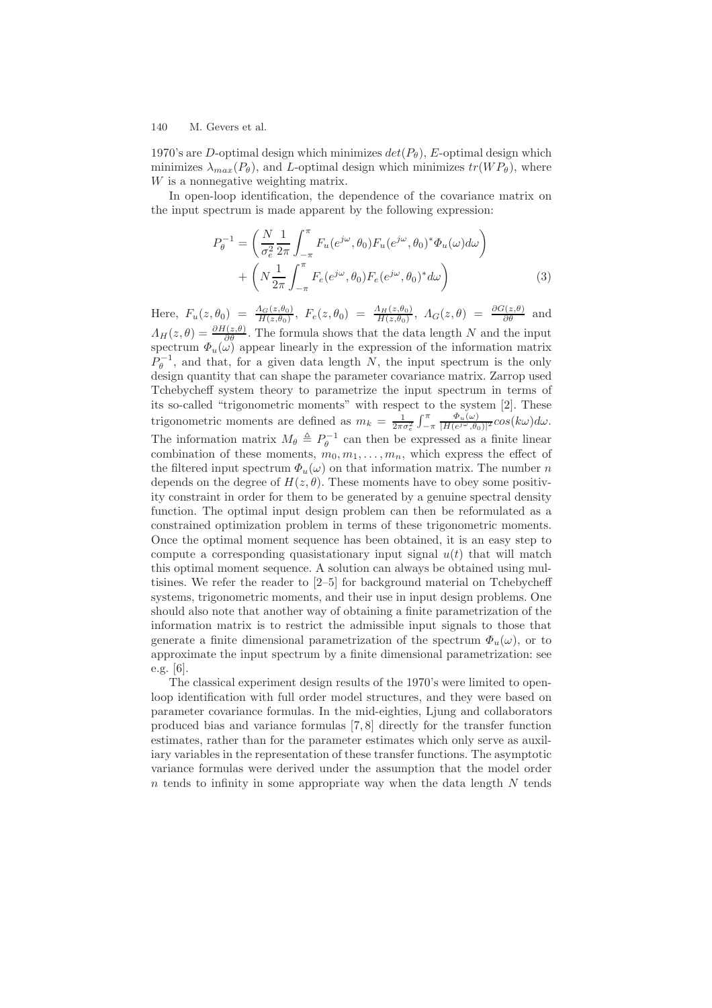1970's are D-optimal design which minimizes  $det(P_{\theta})$ , E-optimal design which minimizes  $\lambda_{max}(P_{\theta})$ , and L-optimal design which minimizes  $tr(WP_{\theta})$ , where W is a nonnegative weighting matrix.

In open-loop identification, the dependence of the covariance matrix on the input spectrum is made apparent by the following expression:

$$
P_{\theta}^{-1} = \left(\frac{N}{\sigma_e^2} \frac{1}{2\pi} \int_{-\pi}^{\pi} F_u(e^{j\omega}, \theta_0) F_u(e^{j\omega}, \theta_0)^* \Phi_u(\omega) d\omega\right) + \left(N \frac{1}{2\pi} \int_{-\pi}^{\pi} F_e(e^{j\omega}, \theta_0) F_e(e^{j\omega}, \theta_0)^* d\omega\right)
$$
(3)

Here,  $F_u(z, \theta_0) = \frac{A_G(z, \theta_0)}{H(z, \theta_0)}, F_e(z, \theta_0) = \frac{A_H(z, \theta_0)}{H(z, \theta_0)}, A_G(z, \theta) = \frac{\partial G(z, \theta)}{\partial \theta}$  and  $\Lambda_H(z,\theta) = \frac{\partial H(z,\theta)}{\partial \theta}$ . The formula shows that the data length N and the input spectrum  $\varPhi_u(\omega)$  appear linearly in the expression of the information matrix  $P_{\theta}^{-1}$ , and that, for a given data length N, the input spectrum is the only design quantity that can shape the parameter covariance matrix. Zarrop used Tchebycheff system theory to parametrize the input spectrum in terms of its so-called "trigonometric moments" with respect to the system [2]. These trigonometric moments are defined as  $m_k = \frac{1}{2\pi\sigma_e^2} \int_{-\pi}^{\pi}$  $\Phi_u(\omega)$  $\frac{u(\omega)}{|H(e^{j\omega},\theta_0)|^2}cos(k\omega)d\omega.$ The information matrix  $M_{\theta} \triangleq P_{\theta}^{-1}$  can then be expressed as a finite linear combination of these moments,  $m_0, m_1, \ldots, m_n$ , which express the effect of the filtered input spectrum  $\Phi_u(\omega)$  on that information matrix. The number n depends on the degree of  $H(z, \theta)$ . These moments have to obey some positivity constraint in order for them to be generated by a genuine spectral density function. The optimal input design problem can then be reformulated as a constrained optimization problem in terms of these trigonometric moments. Once the optimal moment sequence has been obtained, it is an easy step to compute a corresponding quasistationary input signal  $u(t)$  that will match this optimal moment sequence. A solution can always be obtained using multisines. We refer the reader to [2–5] for background material on Tchebycheff systems, trigonometric moments, and their use in input design problems. One should also note that another way of obtaining a finite parametrization of the information matrix is to restrict the admissible input signals to those that generate a finite dimensional parametrization of the spectrum  $\Phi_u(\omega)$ , or to approximate the input spectrum by a finite dimensional parametrization: see e.g. [6].

The classical experiment design results of the 1970's were limited to openloop identification with full order model structures, and they were based on parameter covariance formulas. In the mid-eighties, Ljung and collaborators produced bias and variance formulas [7, 8] directly for the transfer function estimates, rather than for the parameter estimates which only serve as auxiliary variables in the representation of these transfer functions. The asymptotic variance formulas were derived under the assumption that the model order  $n$  tends to infinity in some appropriate way when the data length  $N$  tends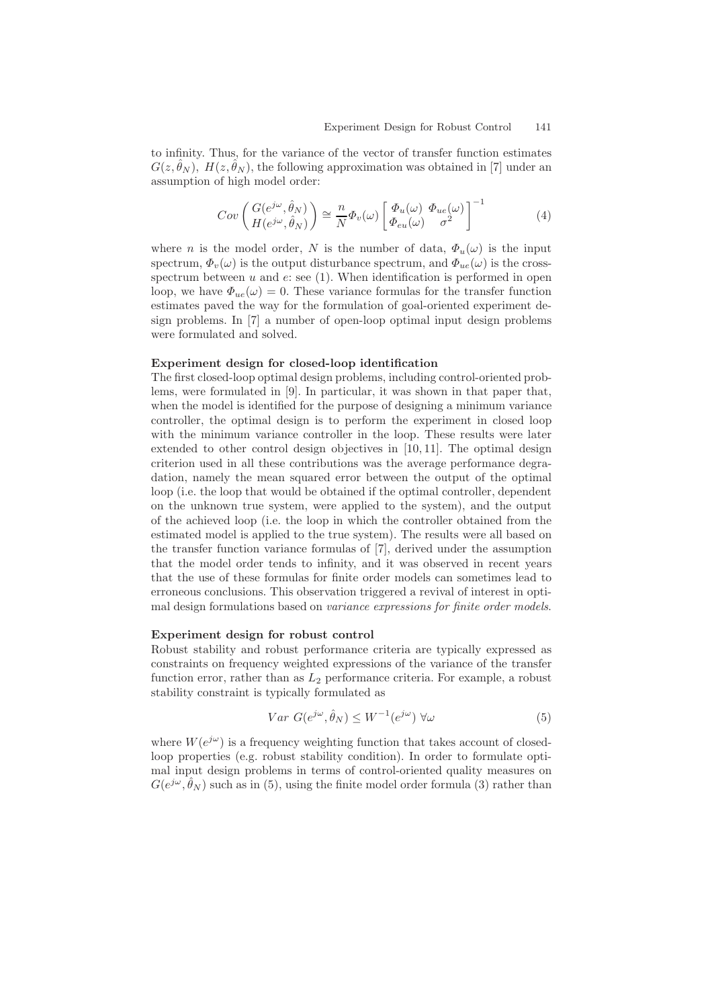to infinity. Thus, for the variance of the vector of transfer function estimates  $G(z, \hat{\theta}_N)$ ,  $H(z, \hat{\theta}_N)$ , the following approximation was obtained in [7] under an assumption of high model order:

$$
Cov\left(\begin{array}{c} G(e^{j\omega}, \hat{\theta}_N) \\ H(e^{j\omega}, \hat{\theta}_N) \end{array}\right) \cong \frac{n}{N} \Phi_v(\omega) \left[\begin{array}{cc} \Phi_u(\omega) & \Phi_{ue}(\omega) \\ \Phi_{eu}(\omega) & \sigma^2 \end{array}\right]^{-1} \tag{4}
$$

where *n* is the model order, N is the number of data,  $\Phi_u(\omega)$  is the input spectrum,  $\Phi_v(\omega)$  is the output disturbance spectrum, and  $\Phi_{ue}(\omega)$  is the crossspectrum between  $u$  and  $e$ : see (1). When identification is performed in open loop, we have  $\Phi_{ue}(\omega) = 0$ . These variance formulas for the transfer function estimates paved the way for the formulation of goal-oriented experiment design problems. In [7] a number of open-loop optimal input design problems were formulated and solved.

### Experiment design for closed-loop identification

The first closed-loop optimal design problems, including control-oriented problems, were formulated in [9]. In particular, it was shown in that paper that, when the model is identified for the purpose of designing a minimum variance controller, the optimal design is to perform the experiment in closed loop with the minimum variance controller in the loop. These results were later extended to other control design objectives in [10, 11]. The optimal design criterion used in all these contributions was the average performance degradation, namely the mean squared error between the output of the optimal loop (i.e. the loop that would be obtained if the optimal controller, dependent on the unknown true system, were applied to the system), and the output of the achieved loop (i.e. the loop in which the controller obtained from the estimated model is applied to the true system). The results were all based on the transfer function variance formulas of [7], derived under the assumption that the model order tends to infinity, and it was observed in recent years that the use of these formulas for finite order models can sometimes lead to erroneous conclusions. This observation triggered a revival of interest in optimal design formulations based on variance expressions for finite order models.

### Experiment design for robust control

Robust stability and robust performance criteria are typically expressed as constraints on frequency weighted expressions of the variance of the transfer function error, rather than as  $L_2$  performance criteria. For example, a robust stability constraint is typically formulated as

$$
Var G(e^{j\omega}, \hat{\theta}_N) \le W^{-1}(e^{j\omega}) \,\forall \omega \tag{5}
$$

where  $W(e^{j\omega})$  is a frequency weighting function that takes account of closedloop properties (e.g. robust stability condition). In order to formulate optimal input design problems in terms of control-oriented quality measures on  $G(e^{j\omega}, \hat{\theta}_N)$  such as in (5), using the finite model order formula (3) rather than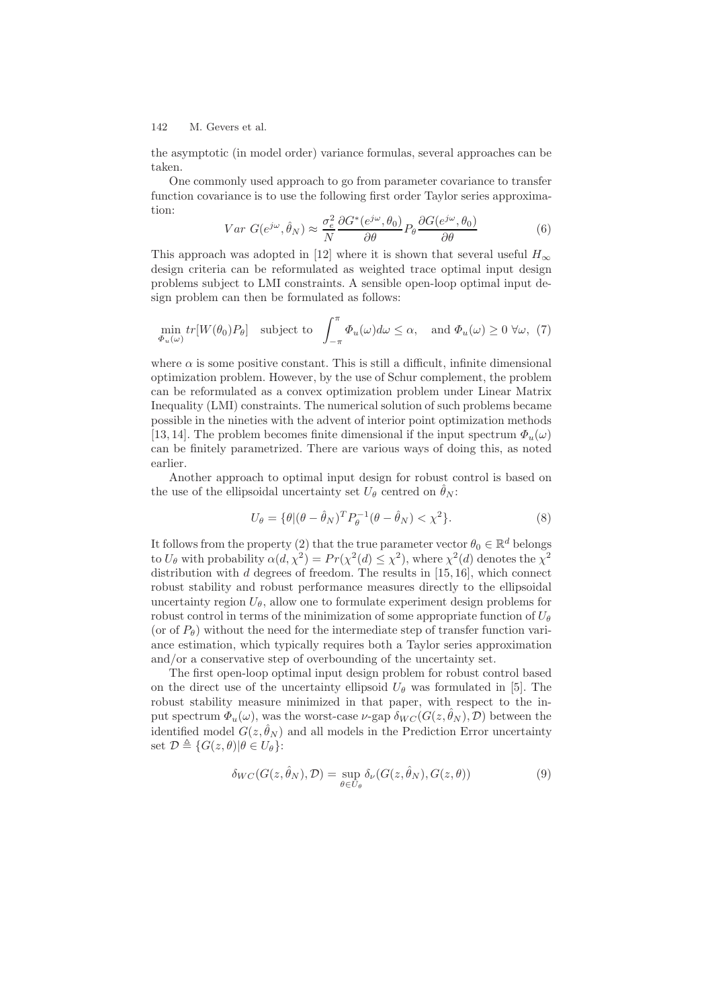the asymptotic (in model order) variance formulas, several approaches can be taken.

One commonly used approach to go from parameter covariance to transfer function covariance is to use the following first order Taylor series approximation:

$$
Var\ G(e^{j\omega}, \hat{\theta}_N) \approx \frac{\sigma_e^2}{N} \frac{\partial G^*(e^{j\omega}, \theta_0)}{\partial \theta} P_\theta \frac{\partial G(e^{j\omega}, \theta_0)}{\partial \theta}
$$
(6)

This approach was adopted in [12] where it is shown that several useful  $H_{\infty}$ design criteria can be reformulated as weighted trace optimal input design problems subject to LMI constraints. A sensible open-loop optimal input design problem can then be formulated as follows:

$$
\min_{\Phi_u(\omega)} tr[W(\theta_0)P_\theta] \quad \text{subject to} \quad \int_{-\pi}^{\pi} \Phi_u(\omega) d\omega \le \alpha, \quad \text{and } \Phi_u(\omega) \ge 0 \,\,\forall \omega, \tag{7}
$$

where  $\alpha$  is some positive constant. This is still a difficult, infinite dimensional optimization problem. However, by the use of Schur complement, the problem can be reformulated as a convex optimization problem under Linear Matrix Inequality (LMI) constraints. The numerical solution of such problems became possible in the nineties with the advent of interior point optimization methods [13, 14]. The problem becomes finite dimensional if the input spectrum  $\Phi_u(\omega)$ can be finitely parametrized. There are various ways of doing this, as noted earlier.

Another approach to optimal input design for robust control is based on the use of the ellipsoidal uncertainty set  $U_{\theta}$  centred on  $\hat{\theta}_N$ :

$$
U_{\theta} = \{ \theta | (\theta - \hat{\theta}_N)^T P_{\theta}^{-1} (\theta - \hat{\theta}_N) < \chi^2 \}. \tag{8}
$$

It follows from the property (2) that the true parameter vector  $\theta_0 \in \mathbb{R}^d$  belongs to  $U_{\theta}$  with probability  $\alpha(d, \chi^2) = Pr(\chi^2(d) \leq \chi^2)$ , where  $\chi^2(d)$  denotes the  $\chi^2$ distribution with  $d$  degrees of freedom. The results in [15, 16], which connect robust stability and robust performance measures directly to the ellipsoidal uncertainty region  $U_{\theta}$ , allow one to formulate experiment design problems for robust control in terms of the minimization of some appropriate function of  $U_{\theta}$ (or of  $P_{\theta}$ ) without the need for the intermediate step of transfer function variance estimation, which typically requires both a Taylor series approximation and/or a conservative step of overbounding of the uncertainty set.

The first open-loop optimal input design problem for robust control based on the direct use of the uncertainty ellipsoid  $U_{\theta}$  was formulated in [5]. The robust stability measure minimized in that paper, with respect to the input spectrum  $\Phi_u(\omega)$ , was the worst-case  $\nu$ -gap  $\delta_{WC}(G(z, \theta_N), \mathcal{D})$  between the identified model  $G(z, \hat{\theta}_N)$  and all models in the Prediction Error uncertainty set  $\mathcal{D} \triangleq \{G(z, \theta)|\theta \in U_{\theta}\}\$ :

$$
\delta_{WC}(G(z, \hat{\theta}_N), \mathcal{D}) = \sup_{\theta \in U_{\theta}} \delta_{\nu}(G(z, \hat{\theta}_N), G(z, \theta))
$$
\n(9)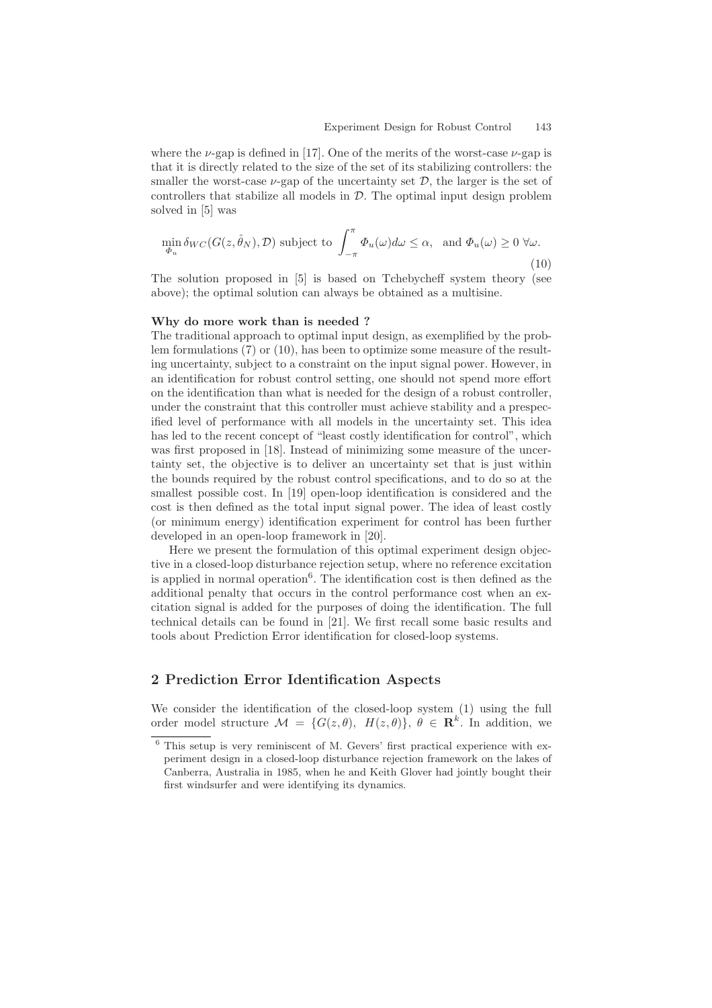where the  $\nu$ -gap is defined in [17]. One of the merits of the worst-case  $\nu$ -gap is that it is directly related to the size of the set of its stabilizing controllers: the smaller the worst-case  $\nu$ -gap of the uncertainty set  $\mathcal{D}$ , the larger is the set of controllers that stabilize all models in  $\mathcal D$ . The optimal input design problem solved in [5] was

$$
\min_{\Phi_u} \delta_{WC}(G(z, \hat{\theta}_N), \mathcal{D}) \text{ subject to } \int_{-\pi}^{\pi} \Phi_u(\omega) d\omega \le \alpha, \text{ and } \Phi_u(\omega) \ge 0 \,\forall \omega.
$$
\n(10)

The solution proposed in [5] is based on Tchebycheff system theory (see above); the optimal solution can always be obtained as a multisine.

### Why do more work than is needed ?

The traditional approach to optimal input design, as exemplified by the problem formulations (7) or (10), has been to optimize some measure of the resulting uncertainty, subject to a constraint on the input signal power. However, in an identification for robust control setting, one should not spend more effort on the identification than what is needed for the design of a robust controller, under the constraint that this controller must achieve stability and a prespecified level of performance with all models in the uncertainty set. This idea has led to the recent concept of "least costly identification for control", which was first proposed in [18]. Instead of minimizing some measure of the uncertainty set, the objective is to deliver an uncertainty set that is just within the bounds required by the robust control specifications, and to do so at the smallest possible cost. In [19] open-loop identification is considered and the cost is then defined as the total input signal power. The idea of least costly (or minimum energy) identification experiment for control has been further developed in an open-loop framework in [20].

Here we present the formulation of this optimal experiment design objective in a closed-loop disturbance rejection setup, where no reference excitation is applied in normal operation 6 . The identification cost is then defined as the additional penalty that occurs in the control performance cost when an excitation signal is added for the purposes of doing the identification. The full technical details can be found in [21]. We first recall some basic results and tools about Prediction Error identification for closed-loop systems.

## 2 Prediction Error Identification Aspects

We consider the identification of the closed-loop system (1) using the full order model structure  $\mathcal{M} = \{G(z, \theta), H(z, \theta)\}, \theta \in \mathbb{R}^k$ . In addition, we

 $6$  This setup is very reminiscent of M. Gevers' first practical experience with experiment design in a closed-loop disturbance rejection framework on the lakes of Canberra, Australia in 1985, when he and Keith Glover had jointly bought their first windsurfer and were identifying its dynamics.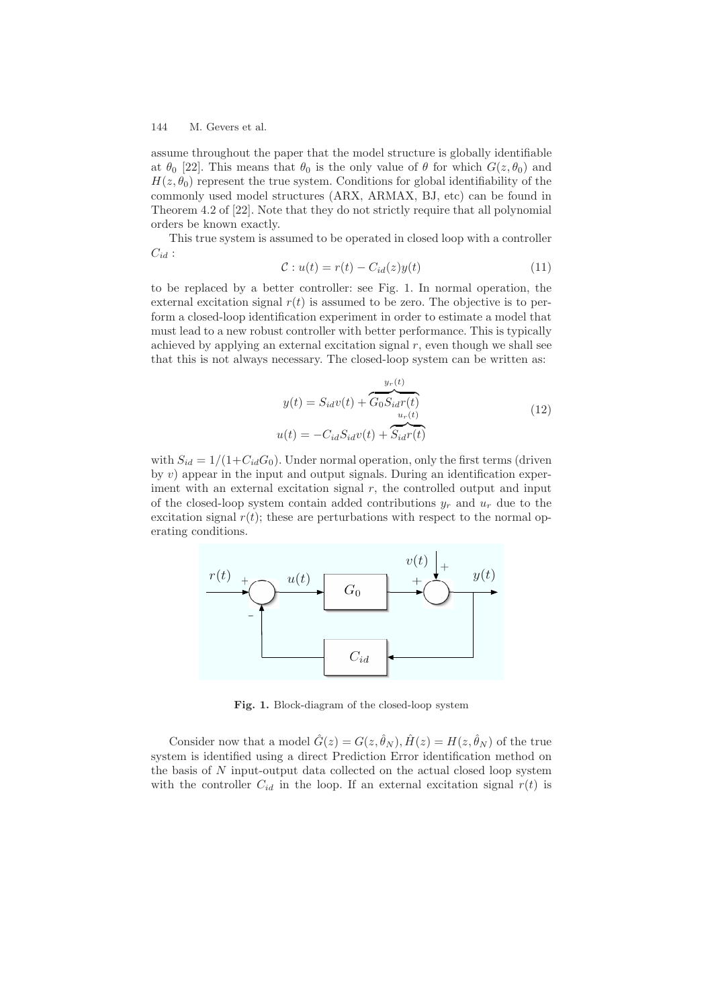assume throughout the paper that the model structure is globally identifiable at  $\theta_0$  [22]. This means that  $\theta_0$  is the only value of  $\theta$  for which  $G(z, \theta_0)$  and  $H(z, \theta_0)$  represent the true system. Conditions for global identifiability of the commonly used model structures (ARX, ARMAX, BJ, etc) can be found in Theorem 4.2 of [22]. Note that they do not strictly require that all polynomial orders be known exactly.

This true system is assumed to be operated in closed loop with a controller  $C_{id}$ :

$$
\mathcal{C}: u(t) = r(t) - C_{id}(z)y(t) \tag{11}
$$

to be replaced by a better controller: see Fig. 1. In normal operation, the external excitation signal  $r(t)$  is assumed to be zero. The objective is to perform a closed-loop identification experiment in order to estimate a model that must lead to a new robust controller with better performance. This is typically achieved by applying an external excitation signal  $r$ , even though we shall see that this is not always necessary. The closed-loop system can be written as:

$$
y(t) = S_{id}v(t) + \overbrace{G_0 S_{id}r(t)}^{y_r(t)}
$$
  

$$
u(t) = -C_{id}S_{id}v(t) + \overbrace{S_{id}r(t)}^{u_r(t)}
$$
 (12)

with  $S_{id} = 1/(1+C_{id}G_0)$ . Under normal operation, only the first terms (driven by  $v$ ) appear in the input and output signals. During an identification experiment with an external excitation signal  $r$ , the controlled output and input of the closed-loop system contain added contributions  $y_r$  and  $u_r$  due to the excitation signal  $r(t)$ ; these are perturbations with respect to the normal operating conditions.



Fig. 1. Block-diagram of the closed-loop system

Consider now that a model  $\hat{G}(z) = G(z, \hat{\theta}_N), \hat{H}(z) = H(z, \hat{\theta}_N)$  of the true system is identified using a direct Prediction Error identification method on the basis of  $N$  input-output data collected on the actual closed loop system with the controller  $C_{id}$  in the loop. If an external excitation signal  $r(t)$  is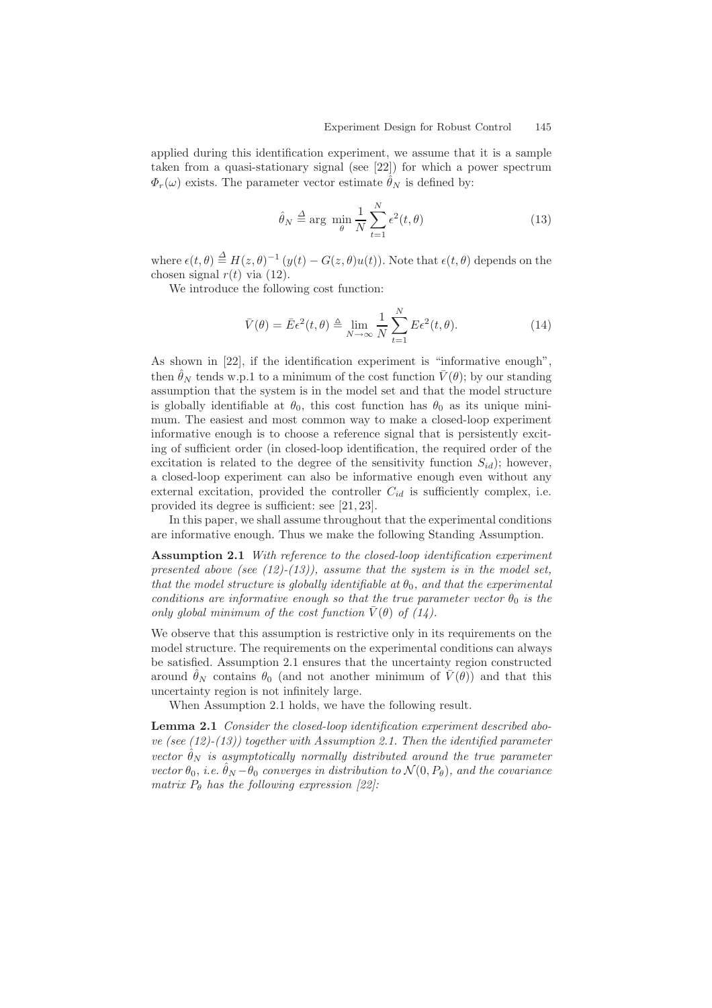applied during this identification experiment, we assume that it is a sample taken from a quasi-stationary signal (see [22]) for which a power spectrum  $\Phi_r(\omega)$  exists. The parameter vector estimate  $\hat{\theta}_N$  is defined by:

$$
\hat{\theta}_N \stackrel{\Delta}{=} \arg \ \min_{\theta} \frac{1}{N} \sum_{t=1}^N \epsilon^2(t, \theta) \tag{13}
$$

where  $\epsilon(t, \theta) \stackrel{\Delta}{=} H(z, \theta)^{-1} (y(t) - G(z, \theta)u(t))$ . Note that  $\epsilon(t, \theta)$  depends on the chosen signal  $r(t)$  via (12).

We introduce the following cost function:

$$
\bar{V}(\theta) = \bar{E}\epsilon^2(t,\theta) \triangleq \lim_{N \to \infty} \frac{1}{N} \sum_{t=1}^N E\epsilon^2(t,\theta). \tag{14}
$$

As shown in [22], if the identification experiment is "informative enough", then  $\hat{\theta}_N$  tends w.p.1 to a minimum of the cost function  $\bar{V}(\theta)$ ; by our standing assumption that the system is in the model set and that the model structure is globally identifiable at  $\theta_0$ , this cost function has  $\theta_0$  as its unique minimum. The easiest and most common way to make a closed-loop experiment informative enough is to choose a reference signal that is persistently exciting of sufficient order (in closed-loop identification, the required order of the excitation is related to the degree of the sensitivity function  $S_{id}$ ); however, a closed-loop experiment can also be informative enough even without any external excitation, provided the controller  $C_{id}$  is sufficiently complex, i.e. provided its degree is sufficient: see [21, 23].

In this paper, we shall assume throughout that the experimental conditions are informative enough. Thus we make the following Standing Assumption.

Assumption 2.1 With reference to the closed-loop identification experiment presented above (see  $(12)-(13)$ ), assume that the system is in the model set, that the model structure is globally identifiable at  $\theta_0$ , and that the experimental conditions are informative enough so that the true parameter vector  $\theta_0$  is the only global minimum of the cost function  $\bar{V}(\theta)$  of (14).

We observe that this assumption is restrictive only in its requirements on the model structure. The requirements on the experimental conditions can always be satisfied. Assumption 2.1 ensures that the uncertainty region constructed around  $\hat{\theta}_N$  contains  $\theta_0$  (and not another minimum of  $\bar{V}(\theta)$ ) and that this uncertainty region is not infinitely large.

When Assumption 2.1 holds, we have the following result.

Lemma 2.1 Consider the closed-loop identification experiment described above (see  $(12)-(13)$ ) together with Assumption 2.1. Then the identified parameter vector  $\theta_N$  is asymptotically normally distributed around the true parameter vector  $\theta_0$ , i.e.  $\hat{\theta}_N - \theta_0$  converges in distribution to  $\mathcal{N}(0, P_\theta)$ , and the covariance matrix  $P_{\theta}$  has the following expression [22]: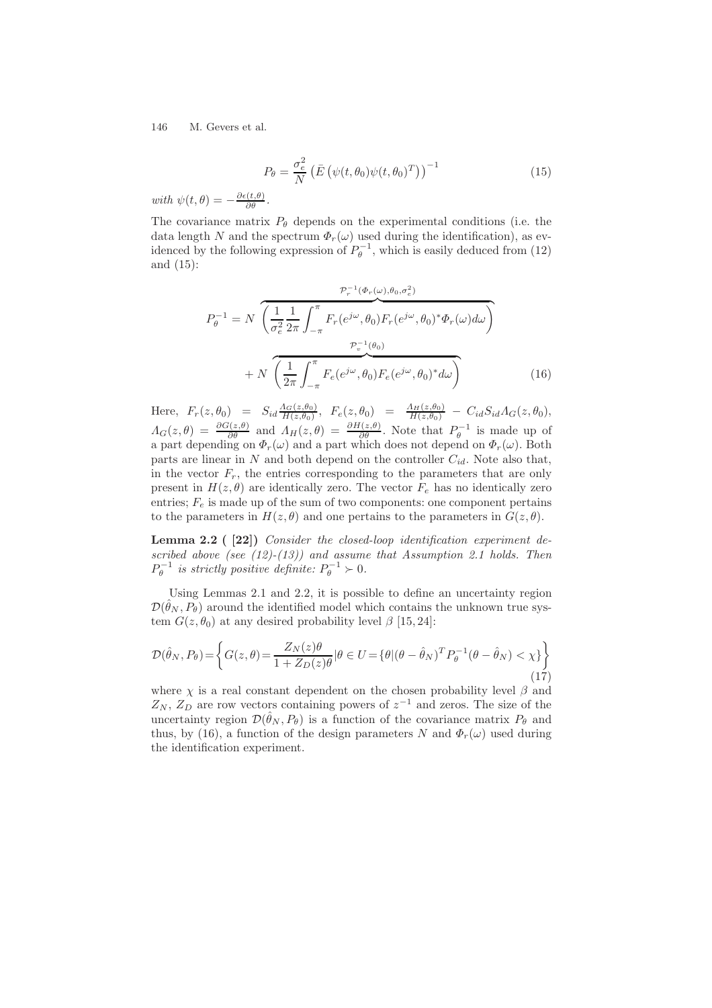$$
P_{\theta} = \frac{\sigma_e^2}{N} \left( \bar{E} \left( \psi(t, \theta_0) \psi(t, \theta_0)^T \right) \right)^{-1} \tag{15}
$$

with  $\psi(t,\theta) = -\frac{\partial \epsilon(t,\theta)}{\partial \theta}$ .

The covariance matrix  $P_{\theta}$  depends on the experimental conditions (i.e. the data length N and the spectrum  $\Phi_r(\omega)$  used during the identification), as evidenced by the following expression of  $P_{\theta}^{-1}$ , which is easily deduced from (12) and (15):

$$
P_{\theta}^{-1} = N \left( \frac{1}{\sigma_e^2} \frac{1}{2\pi} \int_{-\pi}^{\pi} F_r(e^{j\omega}, \theta_0) F_r(e^{j\omega}, \theta_0)^* \Phi_r(\omega) d\omega \right) + N \left( \frac{1}{2\pi} \int_{-\pi}^{\pi} F_e(e^{j\omega}, \theta_0) F_e(e^{j\omega}, \theta_0)^* d\omega \right) + N \left( \frac{1}{2\pi} \int_{-\pi}^{\pi} F_e(e^{j\omega}, \theta_0) F_e(e^{j\omega}, \theta_0)^* d\omega \right)
$$
(16)

Here,  $F_r(z, \theta_0) = S_{id} \frac{A_G(z, \theta_0)}{H(z, \theta_0)}$  $\frac{A_G(z,\theta_0)}{H(z,\theta_0)},\;\; F_e(z,\theta_0) \;\;=\;\; \frac{A_H(z,\theta_0)}{H(z,\theta_0)} \;-\; C_{id} S_{id} \varLambda_G(z,\theta_0),$  $\Lambda_G(z,\theta) = \frac{\partial G(z,\theta)}{\partial \theta}$  and  $\Lambda_H(z,\theta) = \frac{\partial H(z,\theta)}{\partial \theta}$ . Note that  $P_\theta^{-1}$  is made up of a part depending on  $\Phi_r(\omega)$  and a part which does not depend on  $\Phi_r(\omega)$ . Both parts are linear in N and both depend on the controller  $C_{id}$ . Note also that, in the vector  $F_r$ , the entries corresponding to the parameters that are only present in  $H(z, \theta)$  are identically zero. The vector  $F_e$  has no identically zero entries;  $F_e$  is made up of the sum of two components: one component pertains to the parameters in  $H(z, \theta)$  and one pertains to the parameters in  $G(z, \theta)$ .

Lemma 2.2 ( [22]) Consider the closed-loop identification experiment described above (see  $(12)-(13)$ ) and assume that Assumption 2.1 holds. Then  $P_{\theta}^{-1}$  is strictly positive definite:  $P_{\theta}^{-1} \succ 0$ .

Using Lemmas 2.1 and 2.2, it is possible to define an uncertainty region  $\mathcal{D}(\hat{\theta}_N, P_{\theta})$  around the identified model which contains the unknown true system  $G(z, \theta_0)$  at any desired probability level  $\beta$  [15, 24]:

$$
\mathcal{D}(\hat{\theta}_N, P_{\theta}) = \left\{ G(z, \theta) = \frac{Z_N(z)\theta}{1 + Z_D(z)\theta} | \theta \in U = \{\theta | (\theta - \hat{\theta}_N)^T P_{\theta}^{-1} (\theta - \hat{\theta}_N) < \chi \} \right\} \tag{17}
$$

where  $\chi$  is a real constant dependent on the chosen probability level  $\beta$  and  $Z_N$ ,  $Z_D$  are row vectors containing powers of  $z^{-1}$  and zeros. The size of the uncertainty region  $\mathcal{D}(\hat{\theta}_N, P_{\theta})$  is a function of the covariance matrix  $P_{\theta}$  and thus, by (16), a function of the design parameters N and  $\Phi_r(\omega)$  used during the identification experiment.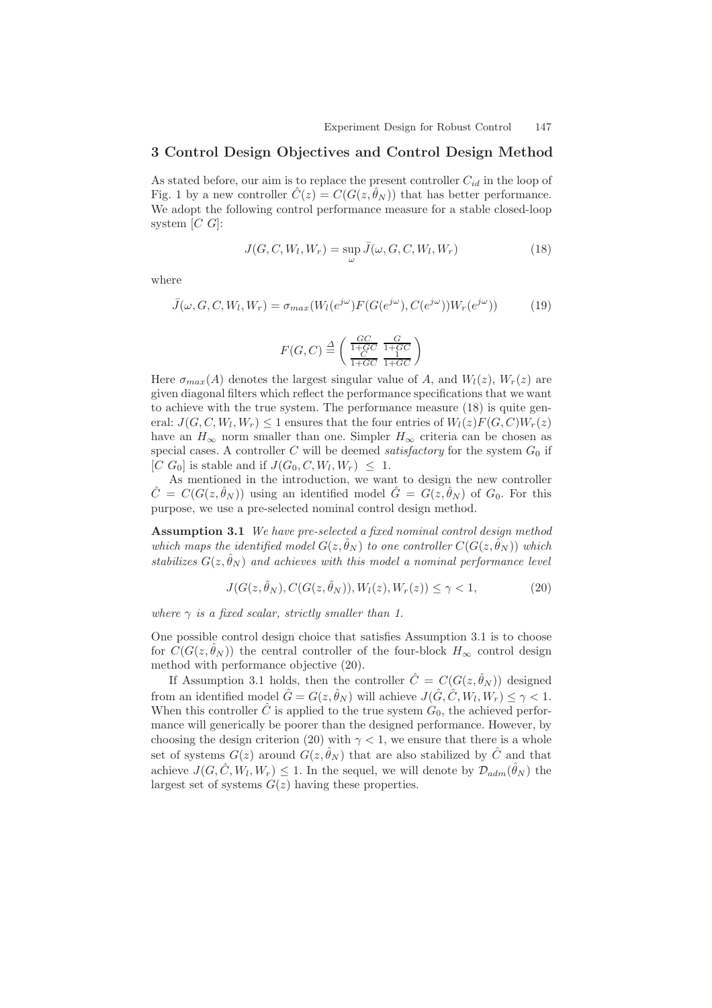### 3 Control Design Objectives and Control Design Method

As stated before, our aim is to replace the present controller  $C_{id}$  in the loop of Fig. 1 by a new controller  $\hat{C}(z) = C(G(z, \hat{\theta}_N))$  that has better performance. We adopt the following control performance measure for a stable closed-loop system  $[C G]$ :

$$
J(G, C, W_l, W_r) = \sup_{\omega} \bar{J}(\omega, G, C, W_l, W_r)
$$
\n(18)

where

$$
\bar{J}(\omega, G, C, W_l, W_r) = \sigma_{max}(W_l(e^{j\omega}) F(G(e^{j\omega}), C(e^{j\omega})) W_r(e^{j\omega})) \tag{19}
$$

$$
F(G, C) \stackrel{\Delta}{=} \left( \frac{\frac{GC}{1+GC} \frac{G}{1+GC} }{\frac{C}{1+GC} \frac{1}{1+GC}} \right)
$$

Here  $\sigma_{max}(A)$  denotes the largest singular value of A, and  $W_l(z)$ ,  $W_r(z)$  are given diagonal filters which reflect the performance specifications that we want to achieve with the true system. The performance measure (18) is quite general:  $J(G, C, W_l, W_r) \leq 1$  ensures that the four entries of  $W_l(z)F(G, C)W_r(z)$ have an  $H_{\infty}$  norm smaller than one. Simpler  $H_{\infty}$  criteria can be chosen as special cases. A controller C will be deemed *satisfactory* for the system  $G_0$  if  $[C G_0]$  is stable and if  $J(G_0, C, W_l, W_r) \leq 1$ .

As mentioned in the introduction, we want to design the new controller  $\hat{C} = C(G(z, \hat{\theta}_N))$  using an identified model  $\hat{G} = G(z, \hat{\theta}_N)$  of  $G_0$ . For this purpose, we use a pre-selected nominal control design method.

Assumption 3.1 We have pre-selected a fixed nominal control design method which maps the identified model  $G(z, \hat{\theta}_N)$  to one controller  $C(G(z, \hat{\theta}_N))$  which stabilizes  $G(z, \hat{\theta}_N)$  and achieves with this model a nominal performance level

$$
J(G(z, \hat{\theta}_N), C(G(z, \hat{\theta}_N)), W_l(z), W_r(z)) \le \gamma < 1,
$$
\n<sup>(20)</sup>

where  $\gamma$  is a fixed scalar, strictly smaller than 1.

One possible control design choice that satisfies Assumption 3.1 is to choose for  $C(G(z, \hat{\theta}_N))$  the central controller of the four-block  $H_{\infty}$  control design method with performance objective (20).

If Assumption 3.1 holds, then the controller  $\hat{C} = C(G(z, \hat{\theta}_N))$  designed from an identified model  $\hat{G} = G(z, \hat{\theta}_N)$  will achieve  $J(\hat{G}, \hat{C}, W_l, W_r) \leq \gamma < 1$ . When this controller  $\hat{C}$  is applied to the true system  $G_0$ , the achieved performance will generically be poorer than the designed performance. However, by choosing the design criterion (20) with  $\gamma$  < 1, we ensure that there is a whole set of systems  $G(z)$  around  $G(z, \hat{\theta}_N)$  that are also stabilized by  $\hat{C}$  and that achieve  $J(G, \hat{C}, W_l, W_r) \leq 1$ . In the sequel, we will denote by  $\mathcal{D}_{adm}(\hat{\theta}_N)$  the largest set of systems  $G(z)$  having these properties.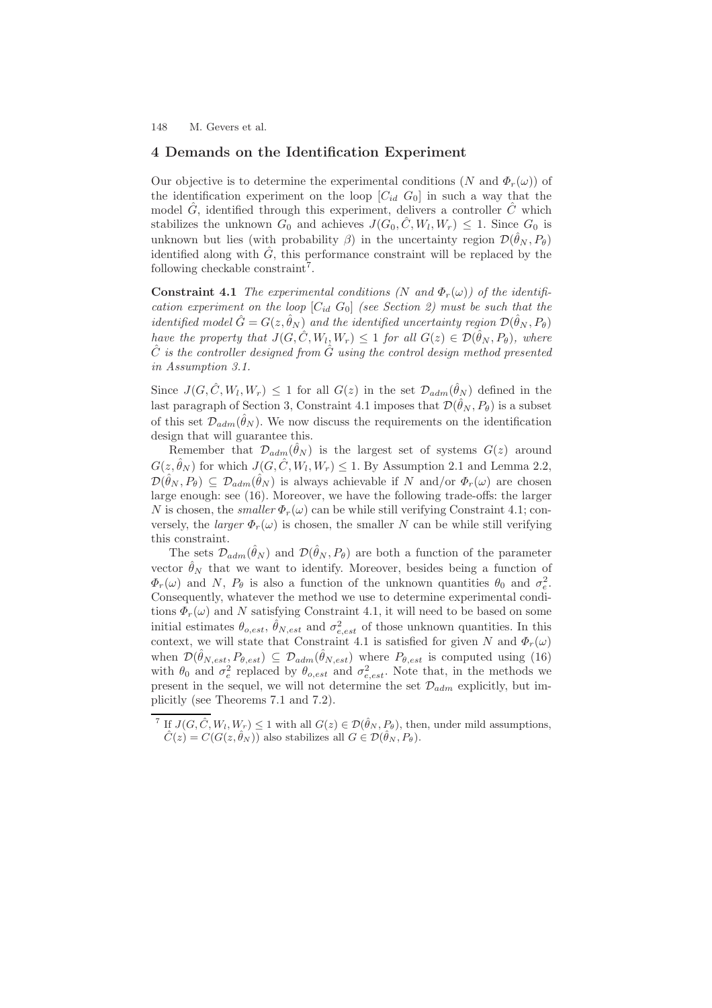## 4 Demands on the Identification Experiment

Our objective is to determine the experimental conditions (N and  $\Phi_r(\omega)$ ) of the identification experiment on the loop  $[C_{id}, G_0]$  in such a way that the model  $\hat{G}$ , identified through this experiment, delivers a controller  $\hat{C}$  which stabilizes the unknown  $G_0$  and achieves  $J(G_0, C, W_l, W_r) \leq 1$ . Since  $G_0$  is unknown but lies (with probability  $\beta$ ) in the uncertainty region  $\mathcal{D}(\hat{\theta}_N, P_{\theta})$ identified along with  $\hat{G}$ , this performance constraint will be replaced by the following checkable constraint<sup>7</sup>.

**Constraint 4.1** The experimental conditions (N and  $\Phi_r(\omega)$ ) of the identification experiment on the loop  $[C_{id}, G_0]$  (see Section 2) must be such that the identified model  $\hat{G} = G(z, \hat{\theta}_N)$  and the identified uncertainty region  $\mathcal{D}(\hat{\theta}_N, P_{\theta})$ have the property that  $J(G, \tilde{C}, W_l, W_r) \leq 1$  for all  $G(z) \in \mathcal{D}(\theta_N, P_\theta)$ , where  $\hat{C}$  is the controller designed from  $\hat{G}$  using the control design method presented in Assumption 3.1.

Since  $J(G, \tilde{C}, W_l, W_r) \leq 1$  for all  $G(z)$  in the set  $\mathcal{D}_{adm}(\hat{\theta}_N)$  defined in the last paragraph of Section 3, Constraint 4.1 imposes that  $\mathcal{D}(\hat{\theta}_N, P_{\theta})$  is a subset of this set  $\mathcal{D}_{adm}(\hat{\theta}_N)$ . We now discuss the requirements on the identification design that will guarantee this.

Remember that  $\mathcal{D}_{adm}(\hat{\theta}_N)$  is the largest set of systems  $G(z)$  around  $G(z, \hat{\theta}_N)$  for which  $J(G, \hat{C}, W_l, W_r) \leq 1$ . By Assumption 2.1 and Lemma 2.2,  $\mathcal{D}(\hat{\theta}_N, P_{\theta}) \subseteq \mathcal{D}_{adm}(\hat{\theta}_N)$  is always achievable if N and/or  $\Phi_r(\omega)$  are chosen large enough: see (16). Moreover, we have the following trade-offs: the larger N is chosen, the *smaller*  $\Phi_r(\omega)$  can be while still verifying Constraint 4.1; conversely, the *larger*  $\Phi_r(\omega)$  is chosen, the smaller N can be while still verifying this constraint.

The sets  $\mathcal{D}_{adm}(\hat{\theta}_N)$  and  $\mathcal{D}(\hat{\theta}_N, P_{\theta})$  are both a function of the parameter vector  $\hat{\theta}_N$  that we want to identify. Moreover, besides being a function of  $\Phi_r(\omega)$  and N,  $P_\theta$  is also a function of the unknown quantities  $\theta_0$  and  $\sigma_e^2$ . Consequently, whatever the method we use to determine experimental conditions  $\Phi_r(\omega)$  and N satisfying Constraint 4.1, it will need to be based on some initial estimates  $\theta_{o,est}$ ,  $\hat{\theta}_{N,est}$  and  $\sigma_{e,est}^2$  of those unknown quantities. In this context, we will state that Constraint 4.1 is satisfied for given N and  $\Phi_r(\omega)$ when  $\mathcal{D}(\hat{\theta}_{N,est}, P_{\theta,est}) \subseteq \mathcal{D}_{adm}(\hat{\theta}_{N,est})$  where  $P_{\theta,est}$  is computed using (16) with  $\theta_0$  and  $\sigma_e^2$  replaced by  $\theta_{o,est}$  and  $\sigma_{e,est}^2$ . Note that, in the methods we present in the sequel, we will not determine the set  $\mathcal{D}_{adm}$  explicitly, but implicitly (see Theorems 7.1 and 7.2).

<sup>&</sup>lt;sup>7</sup> If  $J(G, \hat{C}, W_l, W_r) \leq 1$  with all  $G(z) \in \mathcal{D}(\hat{\theta}_N, P_{\theta})$ , then, under mild assumptions,  $\hat{C}(z) = C(G(z, \hat{\theta}_N))$  also stabilizes all  $G \in \mathcal{D}(\hat{\theta}_N, P_{\theta}).$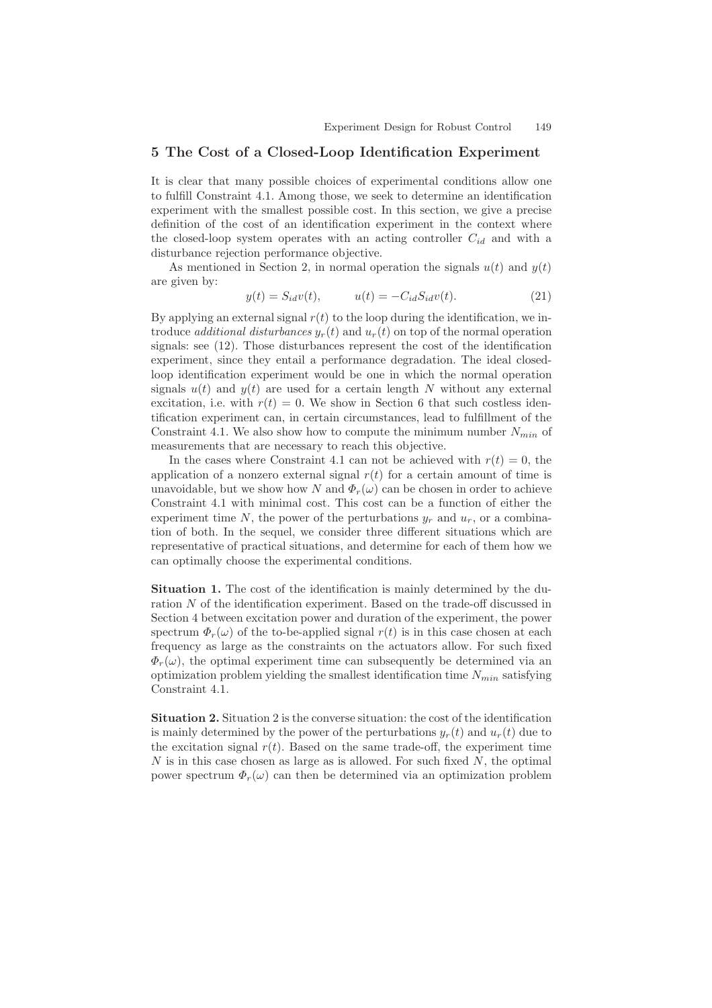### 5 The Cost of a Closed-Loop Identification Experiment

It is clear that many possible choices of experimental conditions allow one to fulfill Constraint 4.1. Among those, we seek to determine an identification experiment with the smallest possible cost. In this section, we give a precise definition of the cost of an identification experiment in the context where the closed-loop system operates with an acting controller  $C_{id}$  and with a disturbance rejection performance objective.

As mentioned in Section 2, in normal operation the signals  $u(t)$  and  $y(t)$ are given by:

$$
y(t) = S_{id}v(t),
$$
  $u(t) = -C_{id}S_{id}v(t).$  (21)

By applying an external signal  $r(t)$  to the loop during the identification, we introduce *additional disturbances*  $y_r(t)$  and  $u_r(t)$  on top of the normal operation signals: see (12). Those disturbances represent the cost of the identification experiment, since they entail a performance degradation. The ideal closedloop identification experiment would be one in which the normal operation signals  $u(t)$  and  $y(t)$  are used for a certain length N without any external excitation, i.e. with  $r(t) = 0$ . We show in Section 6 that such costless identification experiment can, in certain circumstances, lead to fulfillment of the Constraint 4.1. We also show how to compute the minimum number  $N_{min}$  of measurements that are necessary to reach this objective.

In the cases where Constraint 4.1 can not be achieved with  $r(t) = 0$ , the application of a nonzero external signal  $r(t)$  for a certain amount of time is unavoidable, but we show how N and  $\Phi_r(\omega)$  can be chosen in order to achieve Constraint 4.1 with minimal cost. This cost can be a function of either the experiment time N, the power of the perturbations  $y_r$  and  $u_r$ , or a combination of both. In the sequel, we consider three different situations which are representative of practical situations, and determine for each of them how we can optimally choose the experimental conditions.

Situation 1. The cost of the identification is mainly determined by the duration N of the identification experiment. Based on the trade-off discussed in Section 4 between excitation power and duration of the experiment, the power spectrum  $\Phi_r(\omega)$  of the to-be-applied signal  $r(t)$  is in this case chosen at each frequency as large as the constraints on the actuators allow. For such fixed  $\Phi_r(\omega)$ , the optimal experiment time can subsequently be determined via an optimization problem yielding the smallest identification time  $N_{min}$  satisfying Constraint 4.1.

Situation 2. Situation 2 is the converse situation: the cost of the identification is mainly determined by the power of the perturbations  $y_r(t)$  and  $u_r(t)$  due to the excitation signal  $r(t)$ . Based on the same trade-off, the experiment time  $N$  is in this case chosen as large as is allowed. For such fixed  $N$ , the optimal power spectrum  $\Phi_r(\omega)$  can then be determined via an optimization problem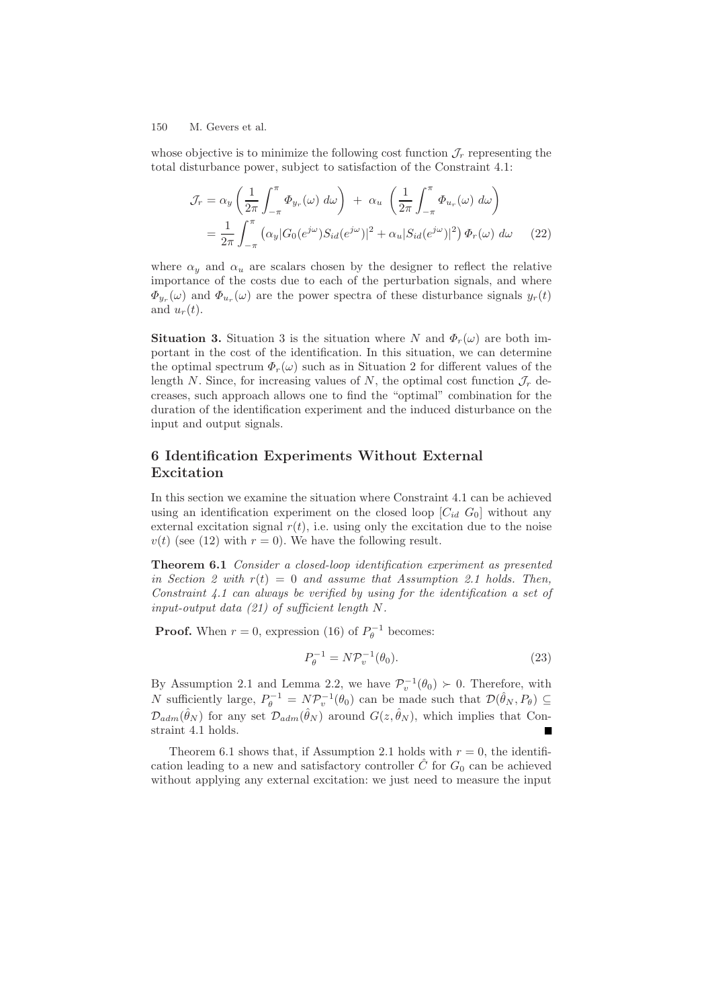whose objective is to minimize the following cost function  $\mathcal{J}_r$  representing the total disturbance power, subject to satisfaction of the Constraint 4.1:

$$
\mathcal{J}_r = \alpha_y \left( \frac{1}{2\pi} \int_{-\pi}^{\pi} \Phi_{y_r}(\omega) d\omega \right) + \alpha_u \left( \frac{1}{2\pi} \int_{-\pi}^{\pi} \Phi_{u_r}(\omega) d\omega \right)
$$

$$
= \frac{1}{2\pi} \int_{-\pi}^{\pi} \left( \alpha_y |G_0(e^{j\omega}) S_{id}(e^{j\omega})|^2 + \alpha_u |S_{id}(e^{j\omega})|^2 \right) \Phi_r(\omega) d\omega \qquad (22)
$$

where  $\alpha_u$  and  $\alpha_u$  are scalars chosen by the designer to reflect the relative importance of the costs due to each of the perturbation signals, and where  $\varPhi_{y_r}(\omega)$  and  $\varPhi_{u_r}(\omega)$  are the power spectra of these disturbance signals  $y_r(t)$ and  $u_r(t)$ .

**Situation 3.** Situation 3 is the situation where N and  $\Phi_r(\omega)$  are both important in the cost of the identification. In this situation, we can determine the optimal spectrum  $\Phi_r(\omega)$  such as in Situation 2 for different values of the length N. Since, for increasing values of N, the optimal cost function  $\mathcal{J}_r$  decreases, such approach allows one to find the "optimal" combination for the duration of the identification experiment and the induced disturbance on the input and output signals.

## 6 Identification Experiments Without External Excitation

In this section we examine the situation where Constraint 4.1 can be achieved using an identification experiment on the closed loop  $[C_{id} G_0]$  without any external excitation signal  $r(t)$ , i.e. using only the excitation due to the noise  $v(t)$  (see (12) with  $r = 0$ ). We have the following result.

Theorem 6.1 Consider a closed-loop identification experiment as presented in Section 2 with  $r(t) = 0$  and assume that Assumption 2.1 holds. Then, Constraint 4.1 can always be verified by using for the identification a set of input-output data (21) of sufficient length N.

**Proof.** When  $r = 0$ , expression (16) of  $P_{\theta}^{-1}$  becomes:

$$
P_{\theta}^{-1} = N \mathcal{P}_v^{-1}(\theta_0).
$$
 (23)

By Assumption 2.1 and Lemma 2.2, we have  $\mathcal{P}_v^{-1}(\theta_0) \succ 0$ . Therefore, with N sufficiently large,  $P_{\theta}^{-1} = N P_{v}^{-1}(\theta_{0})$  can be made such that  $\mathcal{D}(\hat{\theta}_{N}, P_{\theta}) \subseteq$  $\mathcal{D}_{adm}(\hat{\theta}_N)$  for any set  $\mathcal{D}_{adm}(\hat{\theta}_N)$  around  $G(z, \hat{\theta}_N)$ , which implies that Constraint 4.1 holds.

Theorem 6.1 shows that, if Assumption 2.1 holds with  $r = 0$ , the identification leading to a new and satisfactory controller  $\hat{C}$  for  $G_0$  can be achieved without applying any external excitation: we just need to measure the input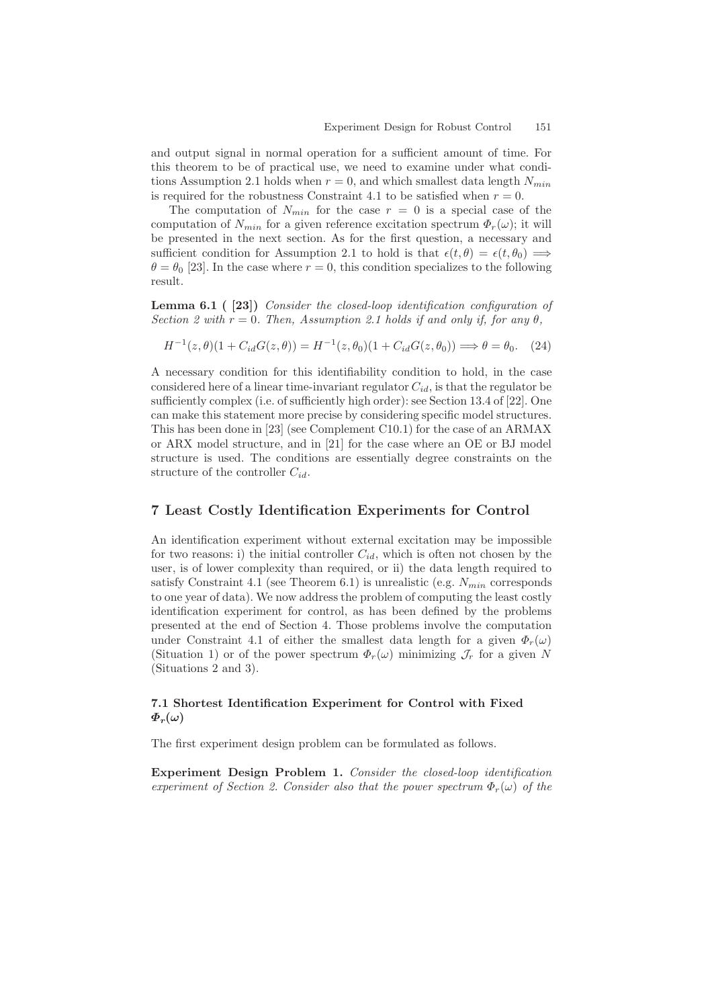and output signal in normal operation for a sufficient amount of time. For this theorem to be of practical use, we need to examine under what conditions Assumption 2.1 holds when  $r = 0$ , and which smallest data length  $N_{min}$ is required for the robustness Constraint 4.1 to be satisfied when  $r = 0$ .

The computation of  $N_{min}$  for the case  $r = 0$  is a special case of the computation of  $N_{min}$  for a given reference excitation spectrum  $\Phi_r(\omega)$ ; it will be presented in the next section. As for the first question, a necessary and sufficient condition for Assumption 2.1 to hold is that  $\epsilon(t, \theta) = \epsilon(t, \theta_0) \implies$  $\theta = \theta_0$  [23]. In the case where  $r = 0$ , this condition specializes to the following result.

Lemma 6.1 ( [23]) Consider the closed-loop identification configuration of Section 2 with  $r = 0$ . Then, Assumption 2.1 holds if and only if, for any  $\theta$ ,

$$
H^{-1}(z,\theta)(1 + C_{id}G(z,\theta)) = H^{-1}(z,\theta_0)(1 + C_{id}G(z,\theta_0)) \implies \theta = \theta_0. \quad (24)
$$

A necessary condition for this identifiability condition to hold, in the case considered here of a linear time-invariant regulator  $C_{id}$ , is that the regulator be sufficiently complex (i.e. of sufficiently high order): see Section 13.4 of [22]. One can make this statement more precise by considering specific model structures. This has been done in [23] (see Complement C10.1) for the case of an ARMAX or ARX model structure, and in [21] for the case where an OE or BJ model structure is used. The conditions are essentially degree constraints on the structure of the controller  $C_{id}$ .

## 7 Least Costly Identification Experiments for Control

An identification experiment without external excitation may be impossible for two reasons: i) the initial controller  $C_{id}$ , which is often not chosen by the user, is of lower complexity than required, or ii) the data length required to satisfy Constraint 4.1 (see Theorem 6.1) is unrealistic (e.g.  $N_{min}$  corresponds to one year of data). We now address the problem of computing the least costly identification experiment for control, as has been defined by the problems presented at the end of Section 4. Those problems involve the computation under Constraint 4.1 of either the smallest data length for a given  $\Phi_r(\omega)$ (Situation 1) or of the power spectrum  $\Phi_r(\omega)$  minimizing  $\mathcal{J}_r$  for a given N (Situations 2 and 3).

### 7.1 Shortest Identification Experiment for Control with Fixed  $\Phi_r(\omega)$

The first experiment design problem can be formulated as follows.

Experiment Design Problem 1. Consider the closed-loop identification experiment of Section 2. Consider also that the power spectrum  $\Phi_r(\omega)$  of the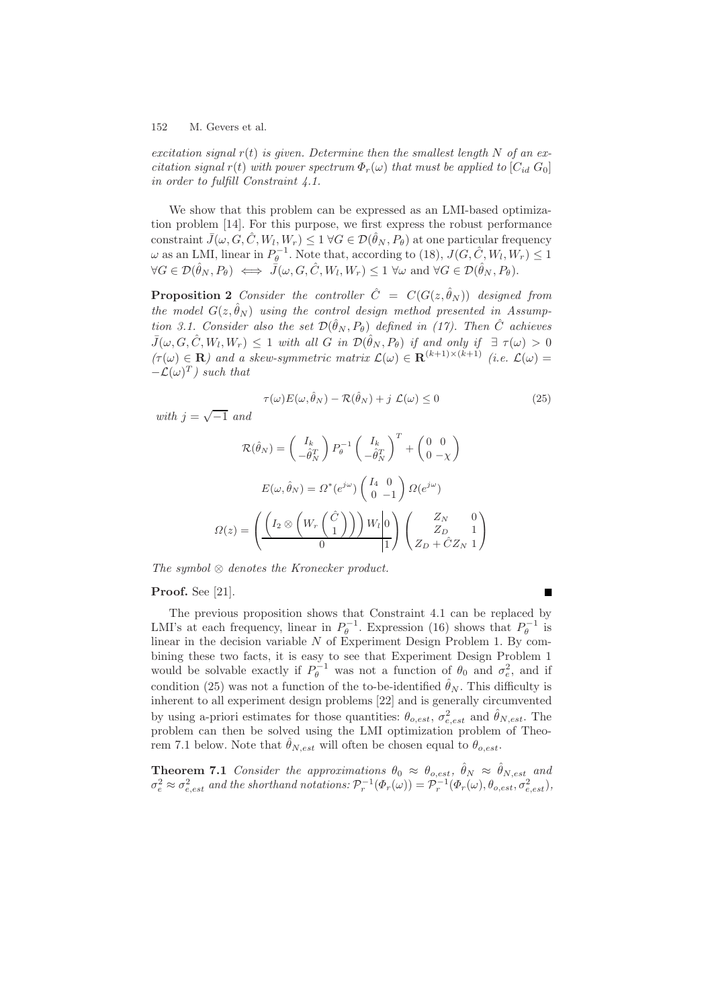excitation signal  $r(t)$  is given. Determine then the smallest length N of an excitation signal r(t) with power spectrum  $\Phi_r(\omega)$  that must be applied to  $[C_{id} G_0]$ in order to fulfill Constraint 4.1.

We show that this problem can be expressed as an LMI-based optimization problem [14]. For this purpose, we first express the robust performance constraint  $\bar{J}(\omega, G, C, W_l, W_r) \leq 1 \ \forall G \in \mathcal{D}(\hat{\theta}_N, P_\theta)$  at one particular frequency  $\omega$  as an LMI, linear in  $P_{\theta}^{-1}$ . Note that, according to (18),  $J(G, \hat{C}, W_l, W_r) \le 1$  $\forall G \in \mathcal{D}(\hat{\theta}_N, P_{\theta}) \iff \bar{J}(\omega, G, \tilde{C}, W_l, W_r) \leq 1 \,\forall \omega \text{ and } \forall G \in \mathcal{D}(\hat{\theta}_N, P_{\theta}).$ 

**Proposition 2** Consider the controller  $\hat{C} = C(G(z, \hat{\theta}_N))$  designed from the model  $G(z, \hat{\theta}_N)$  using the control design method presented in Assumption 3.1. Consider also the set  $\mathcal{D}(\hat{\theta}_N, P_{\theta})$  defined in (17). Then  $\hat{C}$  achieves  $\overline{J}(\omega, G, \hat{C}, W_l, W_r) \leq 1$  with all G in  $\mathcal{D}(\hat{\theta}_N, P_{\theta})$  if and only if  $\exists \tau(\omega) > 0$  $(\tau(\omega) \in \mathbf{R})$  and a skew-symmetric matrix  $\mathcal{L}(\omega) \in \mathbf{R}^{(k+1)\times (k+1)}$  (i.e.  $\mathcal{L}(\omega) =$  $-\mathcal{L}(\omega)^T$ ) such that

$$
\tau(\omega)E(\omega,\hat{\theta}_N) - \mathcal{R}(\hat{\theta}_N) + j \mathcal{L}(\omega) \le 0
$$
\n(25)

 $\blacksquare$ 

with  $j = \sqrt{-1}$  and

$$
\mathcal{R}(\hat{\theta}_N) = \begin{pmatrix} I_k \\ -\hat{\theta}_N^T \end{pmatrix} P_{\theta}^{-1} \begin{pmatrix} I_k \\ -\hat{\theta}_N^T \end{pmatrix}^T + \begin{pmatrix} 0 & 0 \\ 0 & -\chi \end{pmatrix}
$$

$$
E(\omega, \hat{\theta}_N) = \Omega^*(e^{j\omega}) \begin{pmatrix} I_4 & 0 \\ 0 & -1 \end{pmatrix} \Omega(e^{j\omega})
$$

$$
\Omega(z) = \left( \frac{\left( I_2 \otimes \left( W_r \begin{pmatrix} \hat{C} \\ 1 \end{pmatrix} \right) \right) W_l \begin{pmatrix} 0 \\ 0 \end{pmatrix} \begin{pmatrix} Z_N & 0 \\ Z_D & 1 \\ Z_D + \hat{C} Z_N & 1 \end{pmatrix} \right)
$$

The symbol  $\otimes$  denotes the Kronecker product.

Proof. See [21].

The previous proposition shows that Constraint 4.1 can be replaced by LMI's at each frequency, linear in  $P_{\theta}^{-1}$ . Expression (16) shows that  $P_{\theta}^{-1}$  is linear in the decision variable  $N$  of Experiment Design Problem 1. By combining these two facts, it is easy to see that Experiment Design Problem 1 would be solvable exactly if  $P_{\theta}^{-1}$  was not a function of  $\theta_0$  and  $\sigma_e^2$ , and if condition (25) was not a function of the to-be-identified  $\ddot{\theta}_N$ . This difficulty is inherent to all experiment design problems [22] and is generally circumvented by using a-priori estimates for those quantities:  $\theta_{o,est}$ ,  $\sigma_{e,est}^2$  and  $\hat{\theta}_{N,est}$ . The problem can then be solved using the LMI optimization problem of Theorem 7.1 below. Note that  $\hat{\theta}_{N,est}$  will often be chosen equal to  $\theta_{o,est}$ .

**Theorem 7.1** Consider the approximations  $\theta_0 \approx \theta_{o,est}$ ,  $\hat{\theta}_N \approx \hat{\theta}_{N,est}$  and  $\sigma_e^2 \approx \sigma_{e,est}^2$  and the shorthand notations:  $\mathcal{P}_r^{-1}(\Phi_r(\omega)) = \mathcal{P}_r^{-1}(\Phi_r(\omega), \theta_{o,est}, \sigma_{e,est}^2)$ ,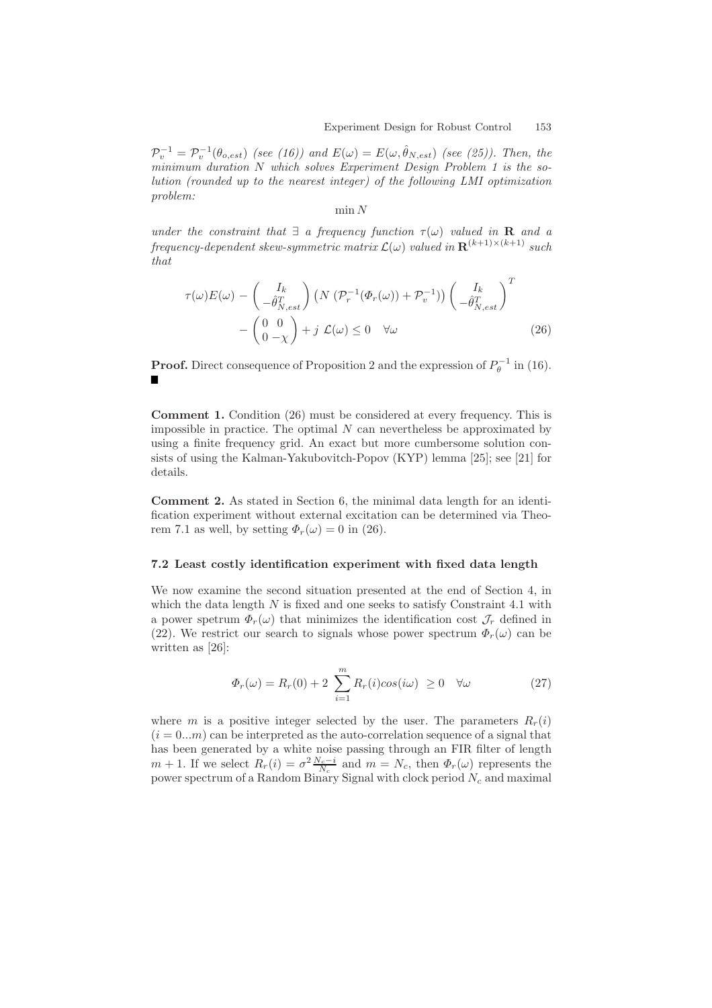$\mathcal{P}_v^{-1} = \mathcal{P}_v^{-1}(\theta_{o,est})$  (see (16)) and  $E(\omega) = E(\omega, \theta_{N,est})$  (see (25)). Then, the minimum duration N which solves Experiment Design Problem 1 is the solution (rounded up to the nearest integer) of the following LMI optimization problem:

#### $min N$

under the constraint that  $\exists$  a frequency function  $\tau(\omega)$  valued in **R** and a  $frequency-dependent \ skew-symmetric \ matrix \mathcal{L}(\omega) \ valued \ in \ \mathbf{R}^{(k+1)\times (k+1)} \ such$ that

$$
\tau(\omega)E(\omega) - \begin{pmatrix} I_k \\ -\hat{\theta}_{N,est}^T \end{pmatrix} \left( N \left( \mathcal{P}_r^{-1}(\Phi_r(\omega)) + \mathcal{P}_v^{-1} \right) \right) \begin{pmatrix} I_k \\ -\hat{\theta}_{N,est}^T \end{pmatrix}^T
$$

$$
- \begin{pmatrix} 0 & 0 \\ 0 & -\chi \end{pmatrix} + j \mathcal{L}(\omega) \le 0 \quad \forall \omega \tag{26}
$$

**Proof.** Direct consequence of Proposition 2 and the expression of  $P_{\theta}^{-1}$  in (16).

Comment 1. Condition (26) must be considered at every frequency. This is impossible in practice. The optimal  $N$  can nevertheless be approximated by using a finite frequency grid. An exact but more cumbersome solution consists of using the Kalman-Yakubovitch-Popov (KYP) lemma [25]; see [21] for details.

Comment 2. As stated in Section 6, the minimal data length for an identification experiment without external excitation can be determined via Theorem 7.1 as well, by setting  $\Phi_r(\omega) = 0$  in (26).

### 7.2 Least costly identification experiment with fixed data length

We now examine the second situation presented at the end of Section 4, in which the data length  $N$  is fixed and one seeks to satisfy Constraint 4.1 with a power spetrum  $\Phi_r(\omega)$  that minimizes the identification cost  $\mathcal{J}_r$  defined in (22). We restrict our search to signals whose power spectrum  $\Phi_r(\omega)$  can be written as [26]:

$$
\Phi_r(\omega) = R_r(0) + 2 \sum_{i=1}^m R_r(i) \cos(i\omega) \ge 0 \quad \forall \omega \tag{27}
$$

where m is a positive integer selected by the user. The parameters  $R_r(i)$  $(i = 0...m)$  can be interpreted as the auto-correlation sequence of a signal that has been generated by a white noise passing through an FIR filter of length  $m + 1$ . If we select  $R_r(i) = \sigma^2 \frac{N_c - i}{N_c}$  and  $m = N_c$ , then  $\Phi_r(\omega)$  represents the power spectrum of a Random Binary Signal with clock period  $N_c$  and maximal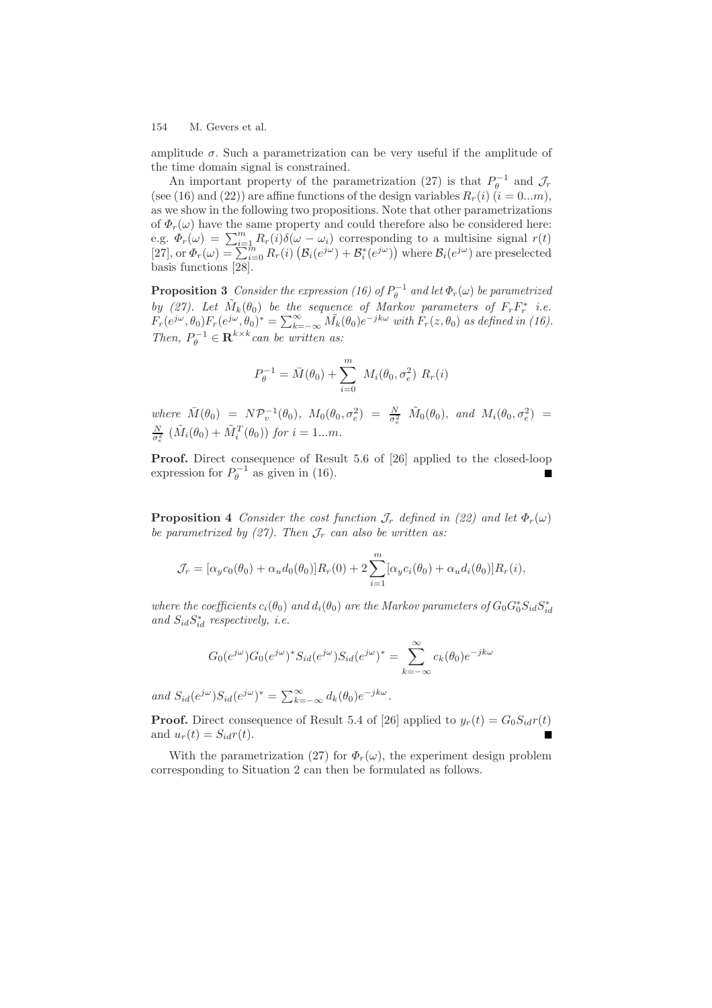amplitude  $\sigma$ . Such a parametrization can be very useful if the amplitude of the time domain signal is constrained.

An important property of the parametrization (27) is that  $P_0^{-1}$  and  $\mathcal{J}_r$ (see (16) and (22)) are affine functions of the design variables  $R_r(i)$  ( $i = 0...m$ ), as we show in the following two propositions. Note that other parametrizations of  $\Phi_r(\omega)$  have the same property and could therefore also be considered here: e.g.  $\Phi_r(\omega) = \sum_{i=1}^m R_r(i) \delta(\omega - \omega_i)$  corresponding to a multisine signal  $r(t)$ [27], or  $\Phi_r(\omega) = \sum_{i=0}^m R_r(i) \left( \mathcal{B}_i(e^{j\omega}) + \mathcal{B}_i^*(e^{j\omega}) \right)$  where  $\mathcal{B}_i(e^{j\omega})$  are preselected basis functions [28].

**Proposition 3** Consider the expression (16) of  $P_{\theta}^{-1}$  and let  $\Phi_r(\omega)$  be parametrized by (27). Let  $\tilde{M}_k(\theta_0)$  be the sequence of Markov parameters of  $F_r F_r^*$  i.e.  $F_r(e^{j\omega}, \theta_0)F_r(e^{j\omega}, \theta_0)^* = \sum_{k=-\infty}^{\infty} \tilde{M}_k(\theta_0) e^{-jk\omega}$  with  $F_r(z, \theta_0)$  as defined in (16). Then,  $P_{\theta}^{-1} \in \mathbf{R}^{k \times k}$  can be written as:

$$
P_{\theta}^{-1} = \bar{M}(\theta_0) + \sum_{i=0}^{m} M_i(\theta_0, \sigma_e^2) R_r(i)
$$

where  $\overline{M}(\theta_0) = N \mathcal{P}_v^{-1}(\theta_0)$ ,  $M_0(\theta_0, \sigma_e^2) = \frac{N}{\sigma_e^2} \overline{M}_0(\theta_0)$ , and  $M_i(\theta_0, \sigma_e^2) =$  $\frac{N}{\sigma_e^2} (\tilde{M}_i(\theta_0) + \tilde{M}_i^T(\theta_0))$  for  $i = 1...m$ .

Proof. Direct consequence of Result 5.6 of [26] applied to the closed-loop expression for  $P_{\theta}^{-1}$  as given in (16).

**Proposition 4** Consider the cost function  $\mathcal{J}_r$  defined in (22) and let  $\Phi_r(\omega)$ be parametrized by (27). Then  $\mathcal{J}_r$  can also be written as:

$$
\mathcal{J}_r = [\alpha_y c_0(\theta_0) + \alpha_u d_0(\theta_0)] R_r(0) + 2 \sum_{i=1}^m [\alpha_y c_i(\theta_0) + \alpha_u d_i(\theta_0)] R_r(i),
$$

where the coefficients  $c_i(\theta_0)$  and  $d_i(\theta_0)$  are the Markov parameters of  $G_0G_0^*S_{id}S_{id}^*$ and  $S_{id}S_{id}^*$  respectively, i.e.

$$
G_0(e^{j\omega})G_0(e^{j\omega})^*S_{id}(e^{j\omega})S_{id}(e^{j\omega})^* = \sum_{k=-\infty}^{\infty} c_k(\theta_0)e^{-jk\omega}
$$

and  $S_{id}(e^{j\omega})S_{id}(e^{j\omega})^* = \sum_{k=-\infty}^{\infty} d_k(\theta_0) e^{-jk\omega}$ .

**Proof.** Direct consequence of Result 5.4 of [26] applied to  $y_r(t) = G_0 S_{id} r(t)$ and  $u_r(t) = S_{id}r(t)$ .

With the parametrization (27) for  $\Phi_r(\omega)$ , the experiment design problem corresponding to Situation 2 can then be formulated as follows.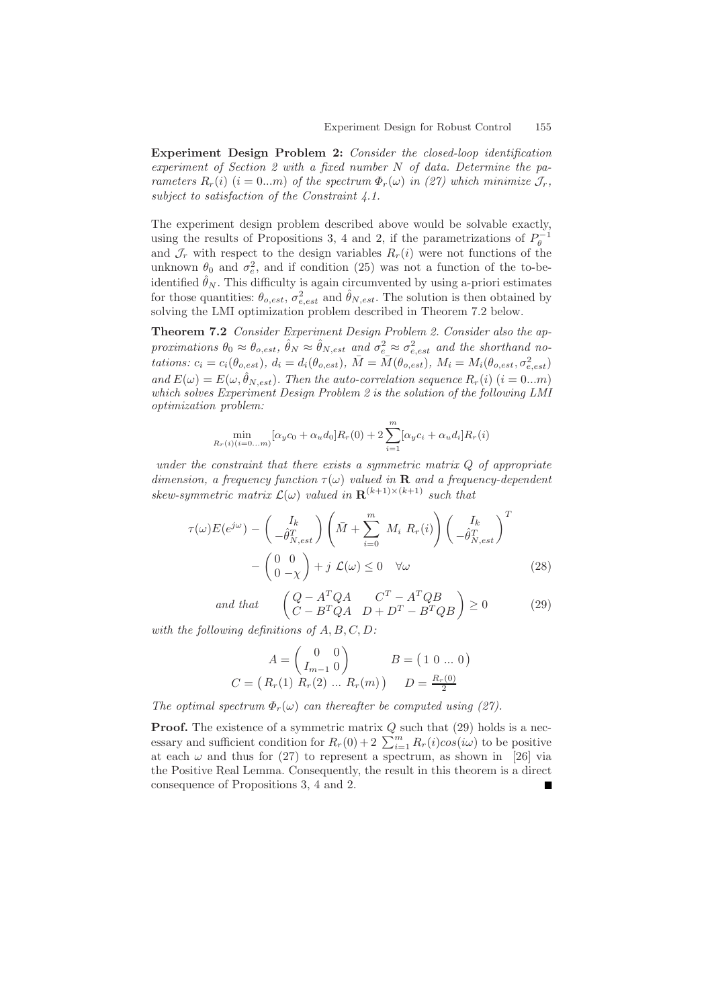Experiment Design Problem 2: Consider the closed-loop identification experiment of Section 2 with a fixed number  $N$  of data. Determine the parameters  $R_r(i)$   $(i = 0...m)$  of the spectrum  $\Phi_r(\omega)$  in (27) which minimize  $\mathcal{J}_r$ , subject to satisfaction of the Constraint 4.1.

The experiment design problem described above would be solvable exactly, using the results of Propositions 3, 4 and 2, if the parametrizations of  $P_{\theta}^{-1}$ and  $\mathcal{J}_r$  with respect to the design variables  $R_r(i)$  were not functions of the unknown  $\theta_0$  and  $\sigma_e^2$ , and if condition (25) was not a function of the to-beidentified  $\hat{\theta}_N$ . This difficulty is again circumvented by using a-priori estimates for those quantities:  $\theta_{o,est}$ ,  $\sigma_{e,est}^2$  and  $\hat{\theta}_{N,est}$ . The solution is then obtained by solving the LMI optimization problem described in Theorem 7.2 below.

Theorem 7.2 Consider Experiment Design Problem 2. Consider also the approximations  $\theta_0 \approx \theta_{o,est}$ ,  $\hat{\theta}_N \approx \hat{\theta}_{N,est}$  and  $\sigma_e^2 \approx \sigma_{e,est}^2$  and the shorthand notations:  $c_i = c_i(\theta_{o,est}), d_i = d_i(\theta_{o,est}), \overline{M} = \overline{M}(\theta_{o,est}), M_i = M_i(\theta_{o,est}, \sigma_{e,est}^2)$ and  $E(\omega) = E(\omega, \hat{\theta}_{N,est})$ . Then the auto-correlation sequence  $R_r(i)$  (i = 0...m) which solves Experiment Design Problem 2 is the solution of the following LMI optimization problem:

$$
\min_{R_r(i)(i=0...m)}[\alpha_y c_0 + \alpha_u d_0]R_r(0) + 2\sum_{i=1}^m[\alpha_y c_i + \alpha_u d_i]R_r(i)
$$

under the constraint that there exists a symmetric matrix  $Q$  of appropriate dimension, a frequency function  $\tau(\omega)$  valued in **R** and a frequency-dependent skew-symmetric matrix  $\mathcal{L}(\omega)$  valued in  $\mathbf{R}^{(k+1)\times (k+1)}$  such that

$$
\tau(\omega)E(e^{j\omega}) - \begin{pmatrix} I_k \\ -\hat{\theta}_{N,est}^T \end{pmatrix} \left( \bar{M} + \sum_{i=0}^m M_i R_r(i) \right) \begin{pmatrix} I_k \\ -\hat{\theta}_{N,est}^T \end{pmatrix}^T - \begin{pmatrix} 0 & 0 \\ 0 & -\chi \end{pmatrix} + j \mathcal{L}(\omega) \le 0 \quad \forall \omega
$$
\n(28)

and that 
$$
\begin{pmatrix} Q - A^T Q A & C^T - A^T Q B \\ C - B^T Q A & D + D^T - B^T Q B \end{pmatrix} \ge 0
$$
 (29)

with the following definitions of  $A, B, C, D$ :

$$
A = \begin{pmatrix} 0 & 0 \\ I_{m-1} & 0 \end{pmatrix} \qquad B = \begin{pmatrix} 1 & 0 & \dots & 0 \end{pmatrix}
$$

$$
C = \begin{pmatrix} R_r(1) & R_r(2) & \dots & R_r(m) \end{pmatrix} \qquad D = \frac{R_r(0)}{2}
$$

The optimal spectrum  $\Phi_r(\omega)$  can thereafter be computed using (27).

**Proof.** The existence of a symmetric matrix  $Q$  such that  $(29)$  holds is a necessary and sufficient condition for  $R_r(0) + 2 \sum_{i=1}^{m} R_r(i) \cos(i\omega)$  to be positive at each  $\omega$  and thus for (27) to represent a spectrum, as shown in [26] via the Positive Real Lemma. Consequently, the result in this theorem is a direct consequence of Propositions 3, 4 and 2. П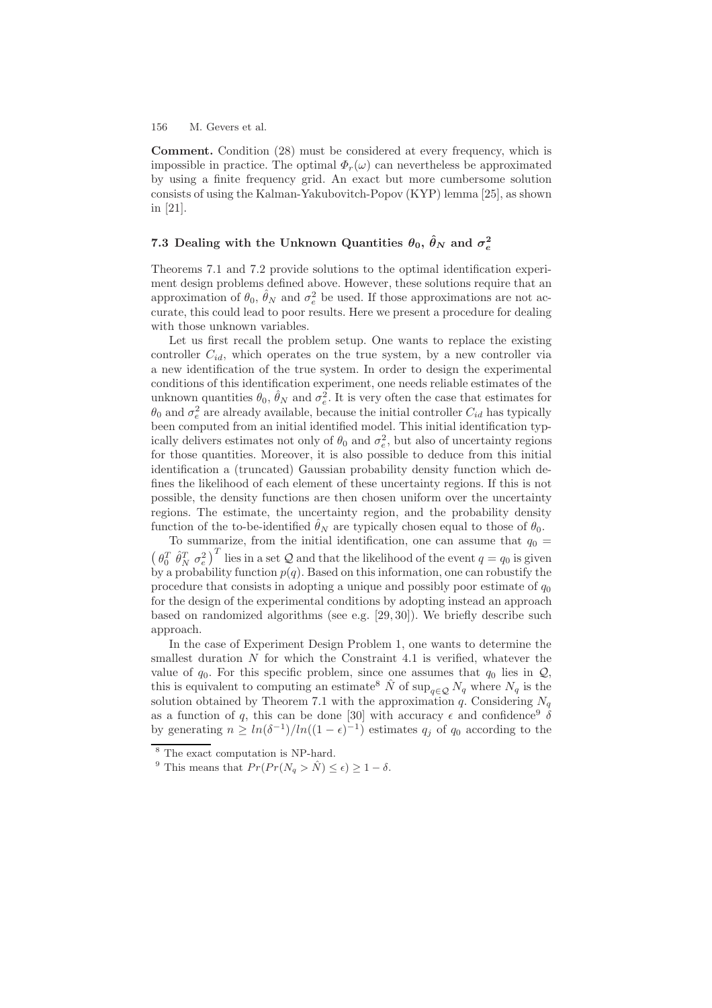Comment. Condition (28) must be considered at every frequency, which is impossible in practice. The optimal  $\Phi_r(\omega)$  can nevertheless be approximated by using a finite frequency grid. An exact but more cumbersome solution consists of using the Kalman-Yakubovitch-Popov (KYP) lemma [25], as shown in [21].

## 7.3 Dealing with the Unknown Quantities  $\theta_0$ ,  $\hat{\theta}_N$  and  $\sigma^2$

Theorems 7.1 and 7.2 provide solutions to the optimal identification experiment design problems defined above. However, these solutions require that an approximation of  $\theta_0$ ,  $\hat{\theta}_N$  and  $\sigma_e^2$  be used. If those approximations are not accurate, this could lead to poor results. Here we present a procedure for dealing with those unknown variables.

Let us first recall the problem setup. One wants to replace the existing controller  $C_{id}$ , which operates on the true system, by a new controller via a new identification of the true system. In order to design the experimental conditions of this identification experiment, one needs reliable estimates of the unknown quantities  $\theta_0$ ,  $\hat{\theta}_N$  and  $\sigma_e^2$ . It is very often the case that estimates for  $\theta_0$  and  $\sigma_e^2$  are already available, because the initial controller  $C_{id}$  has typically been computed from an initial identified model. This initial identification typically delivers estimates not only of  $\theta_0$  and  $\sigma_e^2$ , but also of uncertainty regions for those quantities. Moreover, it is also possible to deduce from this initial identification a (truncated) Gaussian probability density function which defines the likelihood of each element of these uncertainty regions. If this is not possible, the density functions are then chosen uniform over the uncertainty regions. The estimate, the uncertainty region, and the probability density function of the to-be-identified  $\hat{\theta}_N$  are typically chosen equal to those of  $\theta_0$ .

To summarize, from the initial identification, one can assume that  $q_0 =$  $\left(\begin{matrix} \theta_0^T & \hat{\theta}_N^T & \sigma_e^2 \end{matrix}\right)^T$  lies in a set  $\mathcal Q$  and that the likelihood of the event  $q = q_0$  is given by a probability function  $p(q)$ . Based on this information, one can robustify the procedure that consists in adopting a unique and possibly poor estimate of  $q_0$ for the design of the experimental conditions by adopting instead an approach based on randomized algorithms (see e.g. [29, 30]). We briefly describe such approach.

In the case of Experiment Design Problem 1, one wants to determine the smallest duration  $N$  for which the Constraint 4.1 is verified, whatever the value of  $q_0$ . For this specific problem, since one assumes that  $q_0$  lies in  $Q$ , this is equivalent to computing an estimate<sup>8</sup>  $\hat{N}$  of sup<sub>q∈Q</sub>  $N_q$  where  $N_q$  is the solution obtained by Theorem 7.1 with the approximation q. Considering  $N_q$ as a function of q, this can be done [30] with accuracy  $\epsilon$  and confidence<sup>9</sup>  $\delta$ by generating  $n \geq ln(\delta^{-1})/ln((1-\epsilon)^{-1})$  estimates  $q_j$  of  $q_0$  according to the

<sup>8</sup> The exact computation is NP-hard.

<sup>&</sup>lt;sup>9</sup> This means that  $Pr(Pr(N_q > \hat{N}) \leq \epsilon) \geq 1 - \delta$ .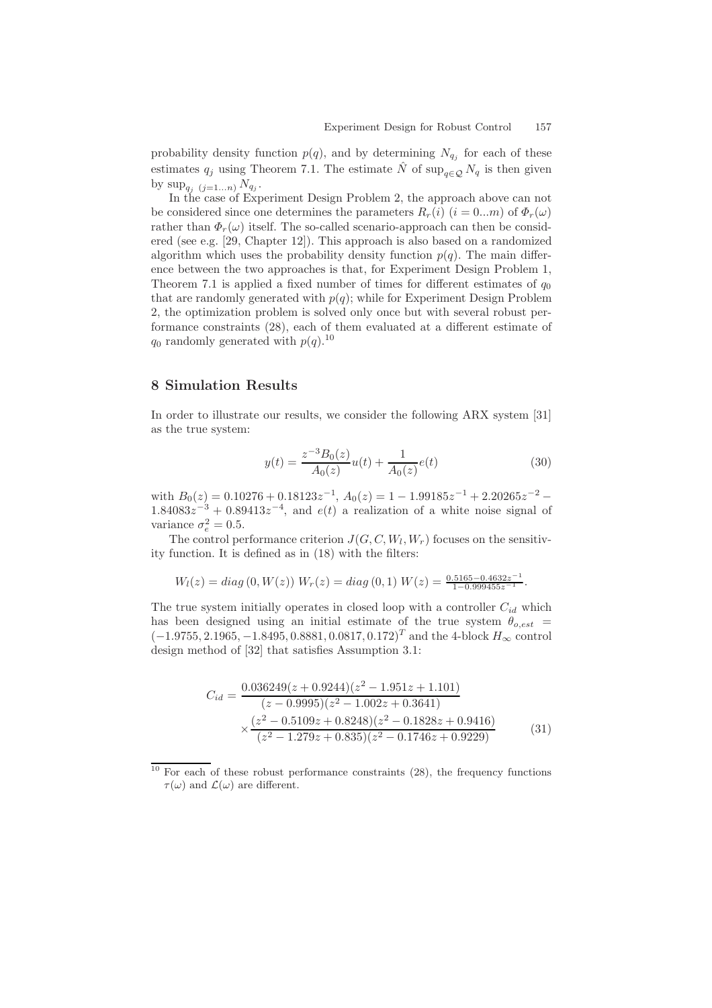probability density function  $p(q)$ , and by determining  $N_{q_i}$  for each of these estimates  $q_j$  using Theorem 7.1. The estimate  $\hat{N}$  of sup<sub>q∈Q</sub>  $N_q$  is then given by  $\sup_{q_j} (j=1...n) N_{q_j}$ .

In the case of Experiment Design Problem 2, the approach above can not be considered since one determines the parameters  $R_r(i)$  ( $i = 0...m$ ) of  $\Phi_r(\omega)$ rather than  $\Phi_r(\omega)$  itself. The so-called scenario-approach can then be considered (see e.g. [29, Chapter 12]). This approach is also based on a randomized algorithm which uses the probability density function  $p(q)$ . The main difference between the two approaches is that, for Experiment Design Problem 1, Theorem 7.1 is applied a fixed number of times for different estimates of  $q_0$ that are randomly generated with  $p(q)$ ; while for Experiment Design Problem 2, the optimization problem is solved only once but with several robust performance constraints (28), each of them evaluated at a different estimate of  $q_0$  randomly generated with  $p(q)$ <sup>10</sup>

### 8 Simulation Results

In order to illustrate our results, we consider the following ARX system [31] as the true system:

$$
y(t) = \frac{z^{-3}B_0(z)}{A_0(z)}u(t) + \frac{1}{A_0(z)}e(t)
$$
\n(30)

with  $B_0(z) = 0.10276 + 0.18123z^{-1}$ ,  $A_0(z) = 1 - 1.99185z^{-1} + 2.20265z^{-2} 1.84083z^{-3} + 0.89413z^{-4}$ , and  $e(t)$  a realization of a white noise signal of variance  $\sigma_e^2 = 0.5$ .

The control performance criterion  $J(G, C, W_l, W_r)$  focuses on the sensitivity function. It is defined as in (18) with the filters:

$$
W_l(z) = diag(0, W(z)) W_r(z) = diag(0, 1) W(z) = \frac{0.5165 - 0.4632z^{-1}}{1 - 0.999455z^{-1}}.
$$

The true system initially operates in closed loop with a controller  $C_{id}$  which has been designed using an initial estimate of the true system  $\theta_{o,est}$  =  $(-1.9755, 2.1965, -1.8495, 0.8881, 0.0817, 0.172)^T$  and the 4-block  $H_{\infty}$  control design method of [32] that satisfies Assumption 3.1:

$$
C_{id} = \frac{0.036249(z+0.9244)(z^2 - 1.951z + 1.101)}{(z - 0.9995)(z^2 - 1.002z + 0.3641)}
$$

$$
\times \frac{(z^2 - 0.5109z + 0.8248)(z^2 - 0.1828z + 0.9416)}{(z^2 - 1.279z + 0.835)(z^2 - 0.1746z + 0.9229)}
$$
(31)

For each of these robust performance constraints  $(28)$ , the frequency functions  $\tau(\omega)$  and  $\mathcal{L}(\omega)$  are different.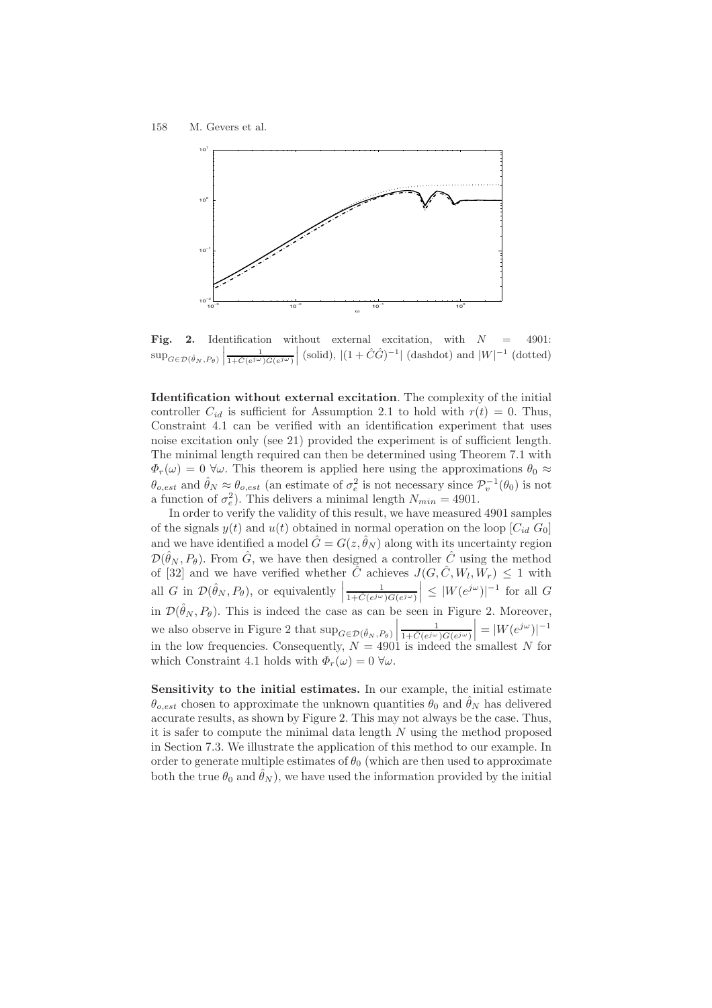

Fig. 2. Identification without external excitation, with  $N = 4901$ :  $\sup_{G \in \mathcal{D}(\hat{\theta}_N, P_{\theta})}$  $\frac{1}{1+\hat{C}(e^{j\omega})G(e^{j\omega})}\Big|$  (solid),  $|(1+\hat{C}\hat{G})^{-1}|$  (dashdot) and  $|W|^{-1}$  (dotted)

Identification without external excitation. The complexity of the initial controller  $C_{id}$  is sufficient for Assumption 2.1 to hold with  $r(t) = 0$ . Thus, Constraint 4.1 can be verified with an identification experiment that uses noise excitation only (see 21) provided the experiment is of sufficient length. The minimal length required can then be determined using Theorem 7.1 with  $\Phi_r(\omega) = 0 \,\forall \omega$ . This theorem is applied here using the approximations  $\theta_0 \approx$  $\theta_{o,est}$  and  $\hat{\theta}_N \approx \theta_{o,est}$  (an estimate of  $\sigma_e^2$  is not necessary since  $\mathcal{P}_v^{-1}(\theta_0)$  is not a function of  $\sigma_e^2$ ). This delivers a minimal length  $N_{min} = 4901$ .

In order to verify the validity of this result, we have measured 4901 samples of the signals  $y(t)$  and  $u(t)$  obtained in normal operation on the loop  $[C_{id} G_0]$ and we have identified a model  $\hat{G} = G(z, \hat{\theta}_N)$  along with its uncertainty region  $\mathcal{D}(\hat{\theta}_N, P_\theta)$ . From  $\hat{G}$ , we have then designed a controller  $\hat{C}$  using the method of [32] and we have verified whether  $\hat{C}$  achieves  $J(G, \hat{C}, W_l, W_r) \leq 1$  with all G in  $\mathcal{D}(\hat{\theta}_N, P_{\theta})$ , or equivalently  $\left| \frac{1}{1+\hat{C}(e^{j\omega})G(e^{j\omega})} \right|$  $\left| \leq |W(e^{j\omega})|^{-1} \right|$  for all G in  $\mathcal{D}(\hat{\theta}_N, P_{\theta})$ . This is indeed the case as can be seen in Figure 2. Moreover, we also observe in Figure 2 that  $\sup_{G \in \mathcal{D}(\hat{\theta}_N, P_\theta)} \left| \frac{1}{1 + \hat{C}(e^{j\omega}) G(e^{j\omega})} \right|$  $= |W(e^{j\omega})|^{-1}$ in the low frequencies. Consequently,  $N = 4901$  is indeed the smallest N for which Constraint 4.1 holds with  $\Phi_r(\omega) = 0 \ \forall \omega$ .

Sensitivity to the initial estimates. In our example, the initial estimate  $\theta_{o,est}$  chosen to approximate the unknown quantities  $\theta_0$  and  $\hat{\theta}_N$  has delivered accurate results, as shown by Figure 2. This may not always be the case. Thus, it is safer to compute the minimal data length N using the method proposed in Section 7.3. We illustrate the application of this method to our example. In order to generate multiple estimates of  $\theta_0$  (which are then used to approximate both the true  $\theta_0$  and  $\hat{\theta}_N$ , we have used the information provided by the initial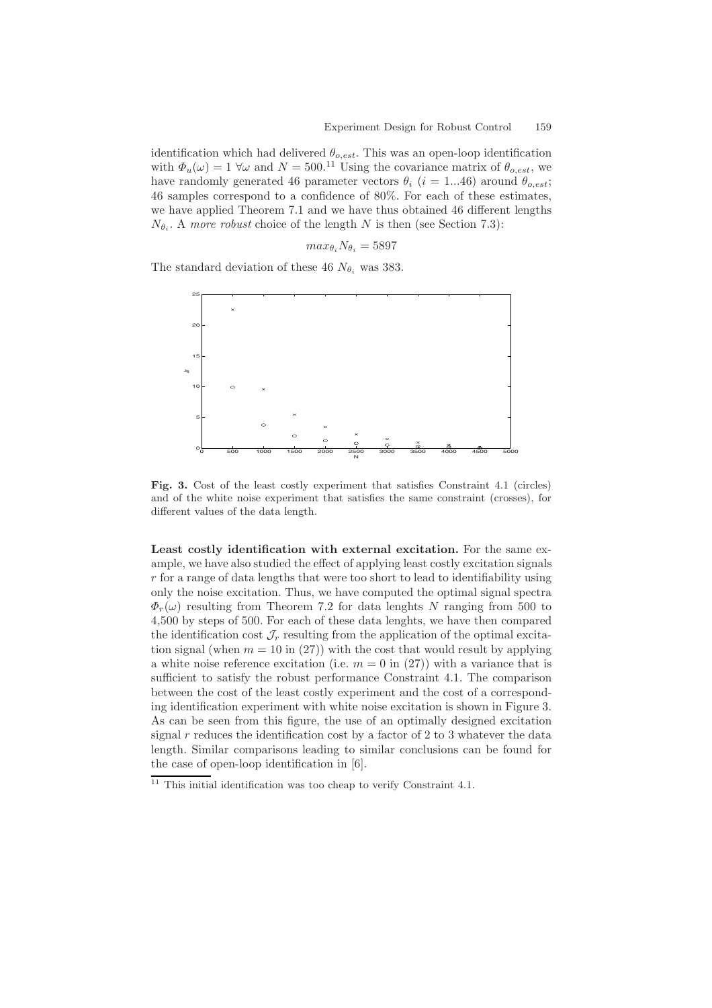identification which had delivered  $\theta_{o,est}$ . This was an open-loop identification with  $\Phi_u(\omega) = 1 \ \forall \omega$  and  $N = 500^{11}$  Using the covariance matrix of  $\theta_{o,est}$ , we have randomly generated 46 parameter vectors  $\theta_i$  (i = 1...46) around  $\theta_{o,est}$ ; 46 samples correspond to a confidence of 80%. For each of these estimates, we have applied Theorem 7.1 and we have thus obtained 46 different lengths  $N_{\theta_i}$ . A more robust choice of the length N is then (see Section 7.3):

$$
max_{\theta_i} N_{\theta_i} = 5897
$$

The standard deviation of these 46  $N_{\theta_i}$  was 383.



Fig. 3. Cost of the least costly experiment that satisfies Constraint 4.1 (circles) and of the white noise experiment that satisfies the same constraint (crosses), for different values of the data length.

Least costly identification with external excitation. For the same example, we have also studied the effect of applying least costly excitation signals  $r$  for a range of data lengths that were too short to lead to identifiability using only the noise excitation. Thus, we have computed the optimal signal spectra  $\Phi_r(\omega)$  resulting from Theorem 7.2 for data lenghts N ranging from 500 to 4,500 by steps of 500. For each of these data lenghts, we have then compared the identification cost  $\mathcal{J}_r$  resulting from the application of the optimal excitation signal (when  $m = 10$  in (27)) with the cost that would result by applying a white noise reference excitation (i.e.  $m = 0$  in (27)) with a variance that is sufficient to satisfy the robust performance Constraint 4.1. The comparison between the cost of the least costly experiment and the cost of a corresponding identification experiment with white noise excitation is shown in Figure 3. As can be seen from this figure, the use of an optimally designed excitation signal  $r$  reduces the identification cost by a factor of 2 to 3 whatever the data length. Similar comparisons leading to similar conclusions can be found for the case of open-loop identification in [6].

 $11$  This initial identification was too cheap to verify Constraint 4.1.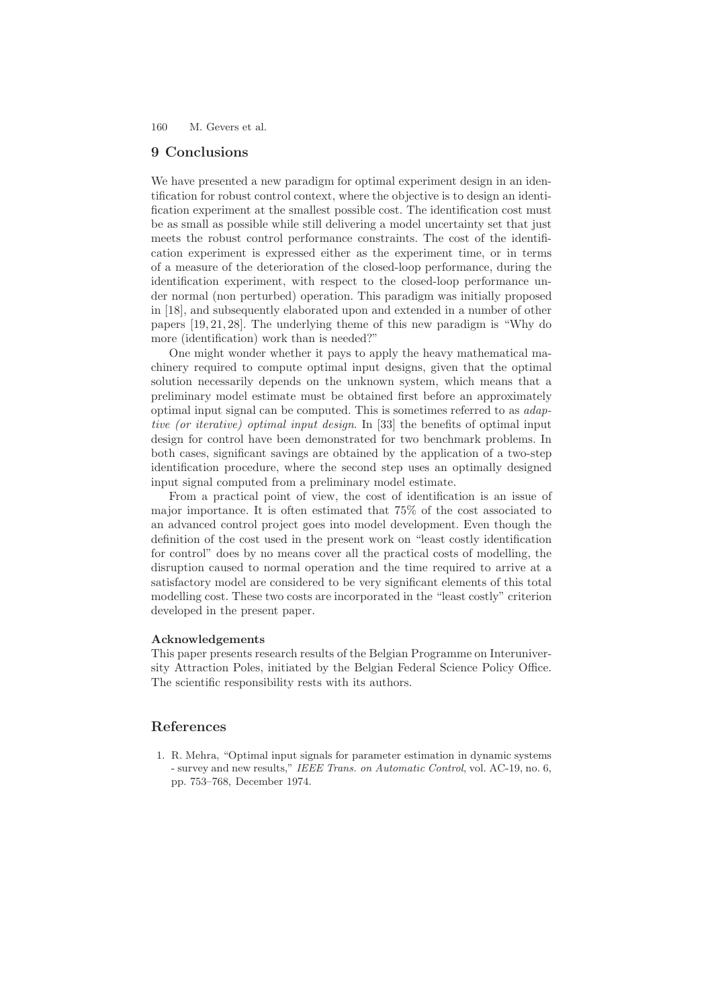## 9 Conclusions

We have presented a new paradigm for optimal experiment design in an identification for robust control context, where the objective is to design an identification experiment at the smallest possible cost. The identification cost must be as small as possible while still delivering a model uncertainty set that just meets the robust control performance constraints. The cost of the identification experiment is expressed either as the experiment time, or in terms of a measure of the deterioration of the closed-loop performance, during the identification experiment, with respect to the closed-loop performance under normal (non perturbed) operation. This paradigm was initially proposed in [18], and subsequently elaborated upon and extended in a number of other papers [19, 21, 28]. The underlying theme of this new paradigm is "Why do more (identification) work than is needed?"

One might wonder whether it pays to apply the heavy mathematical machinery required to compute optimal input designs, given that the optimal solution necessarily depends on the unknown system, which means that a preliminary model estimate must be obtained first before an approximately optimal input signal can be computed. This is sometimes referred to as adaptive (or iterative) optimal input design. In [33] the benefits of optimal input design for control have been demonstrated for two benchmark problems. In both cases, significant savings are obtained by the application of a two-step identification procedure, where the second step uses an optimally designed input signal computed from a preliminary model estimate.

From a practical point of view, the cost of identification is an issue of major importance. It is often estimated that 75% of the cost associated to an advanced control project goes into model development. Even though the definition of the cost used in the present work on "least costly identification for control" does by no means cover all the practical costs of modelling, the disruption caused to normal operation and the time required to arrive at a satisfactory model are considered to be very significant elements of this total modelling cost. These two costs are incorporated in the "least costly" criterion developed in the present paper.

### Acknowledgements

This paper presents research results of the Belgian Programme on Interuniversity Attraction Poles, initiated by the Belgian Federal Science Policy Office. The scientific responsibility rests with its authors.

## References

1. R. Mehra, "Optimal input signals for parameter estimation in dynamic systems - survey and new results," IEEE Trans. on Automatic Control, vol. AC-19, no. 6, pp. 753–768, December 1974.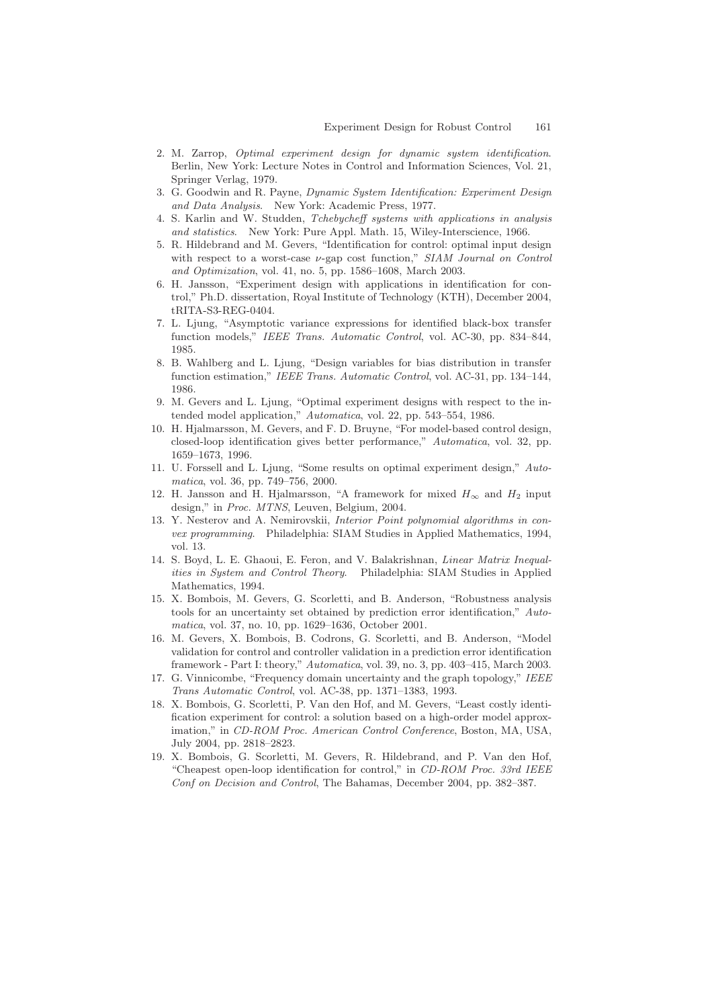- 2. M. Zarrop, Optimal experiment design for dynamic system identification. Berlin, New York: Lecture Notes in Control and Information Sciences, Vol. 21, Springer Verlag, 1979.
- 3. G. Goodwin and R. Payne, Dynamic System Identification: Experiment Design and Data Analysis. New York: Academic Press, 1977.
- 4. S. Karlin and W. Studden, Tchebycheff systems with applications in analysis and statistics. New York: Pure Appl. Math. 15, Wiley-Interscience, 1966.
- 5. R. Hildebrand and M. Gevers, "Identification for control: optimal input design with respect to a worst-case  $\nu$ -gap cost function," SIAM Journal on Control and Optimization, vol. 41, no. 5, pp. 1586–1608, March 2003.
- 6. H. Jansson, "Experiment design with applications in identification for control," Ph.D. dissertation, Royal Institute of Technology (KTH), December 2004, tRITA-S3-REG-0404.
- 7. L. Ljung, "Asymptotic variance expressions for identified black-box transfer function models," IEEE Trans. Automatic Control, vol. AC-30, pp. 834–844, 1985.
- 8. B. Wahlberg and L. Ljung, "Design variables for bias distribution in transfer function estimation," IEEE Trans. Automatic Control, vol. AC-31, pp. 134–144, 1986.
- 9. M. Gevers and L. Ljung, "Optimal experiment designs with respect to the intended model application," Automatica, vol. 22, pp. 543-554, 1986.
- 10. H. Hjalmarsson, M. Gevers, and F. D. Bruyne, "For model-based control design, closed-loop identification gives better performance," Automatica, vol. 32, pp. 1659–1673, 1996.
- 11. U. Forssell and L. Ljung, "Some results on optimal experiment design," Automatica, vol. 36, pp. 749–756, 2000.
- 12. H. Jansson and H. Hjalmarsson, "A framework for mixed  $H_{\infty}$  and  $H_2$  input design," in Proc. MTNS, Leuven, Belgium, 2004.
- 13. Y. Nesterov and A. Nemirovskii, Interior Point polynomial algorithms in convex programming. Philadelphia: SIAM Studies in Applied Mathematics, 1994, vol. 13.
- 14. S. Boyd, L. E. Ghaoui, E. Feron, and V. Balakrishnan, Linear Matrix Inequalities in System and Control Theory. Philadelphia: SIAM Studies in Applied Mathematics, 1994.
- 15. X. Bombois, M. Gevers, G. Scorletti, and B. Anderson, "Robustness analysis tools for an uncertainty set obtained by prediction error identification," Automatica, vol. 37, no. 10, pp. 1629–1636, October 2001.
- 16. M. Gevers, X. Bombois, B. Codrons, G. Scorletti, and B. Anderson, "Model validation for control and controller validation in a prediction error identification framework - Part I: theory," Automatica, vol. 39, no. 3, pp. 403–415, March 2003.
- 17. G. Vinnicombe, "Frequency domain uncertainty and the graph topology," IEEE Trans Automatic Control, vol. AC-38, pp. 1371–1383, 1993.
- 18. X. Bombois, G. Scorletti, P. Van den Hof, and M. Gevers, "Least costly identification experiment for control: a solution based on a high-order model approximation," in CD-ROM Proc. American Control Conference, Boston, MA, USA, July 2004, pp. 2818–2823.
- 19. X. Bombois, G. Scorletti, M. Gevers, R. Hildebrand, and P. Van den Hof, "Cheapest open-loop identification for control," in CD-ROM Proc. 33rd IEEE Conf on Decision and Control, The Bahamas, December 2004, pp. 382–387.